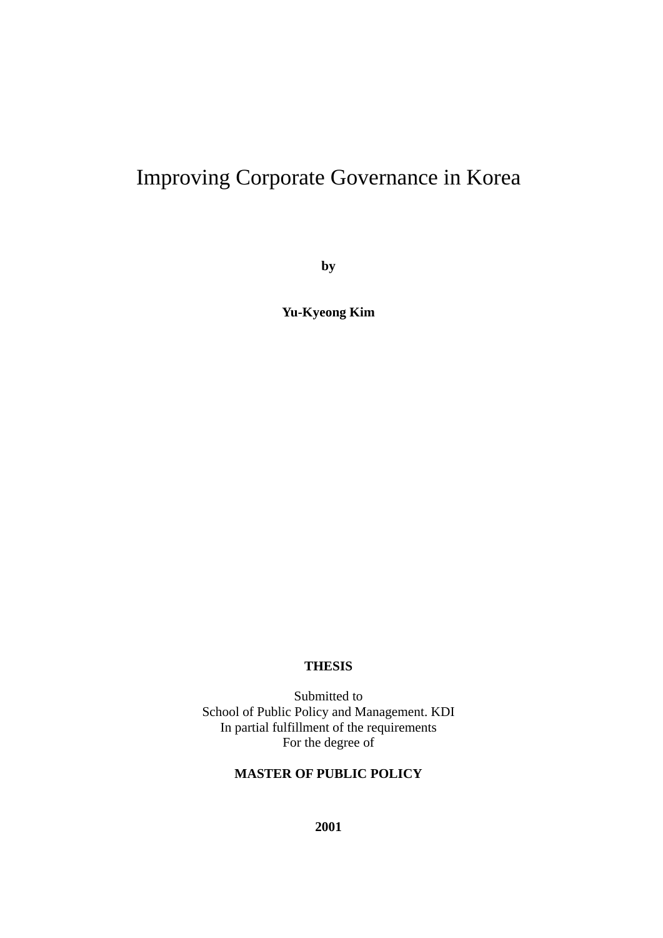# Improving Corporate Governance in Korea

**by** 

**Yu-Kyeong Kim** 

## **THESIS**

Submitted to School of Public Policy and Management. KDI In partial fulfillment of the requirements For the degree of

## **MASTER OF PUBLIC POLICY**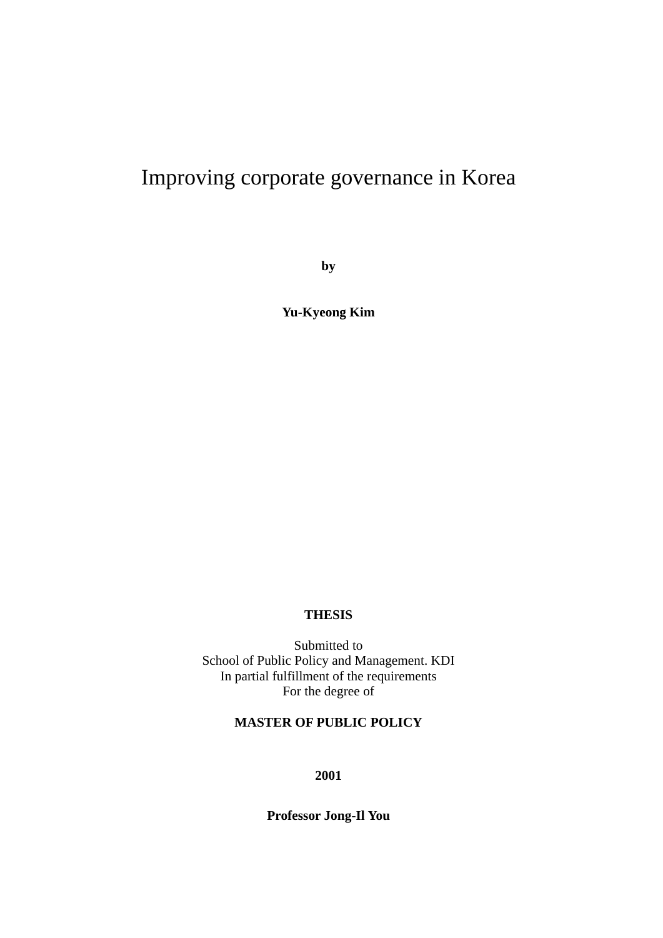# Improving corporate governance in Korea

**by** 

**Yu-Kyeong Kim** 

## **THESIS**

Submitted to School of Public Policy and Management. KDI In partial fulfillment of the requirements For the degree of

## **MASTER OF PUBLIC POLICY**

**2001** 

**Professor Jong-Il You**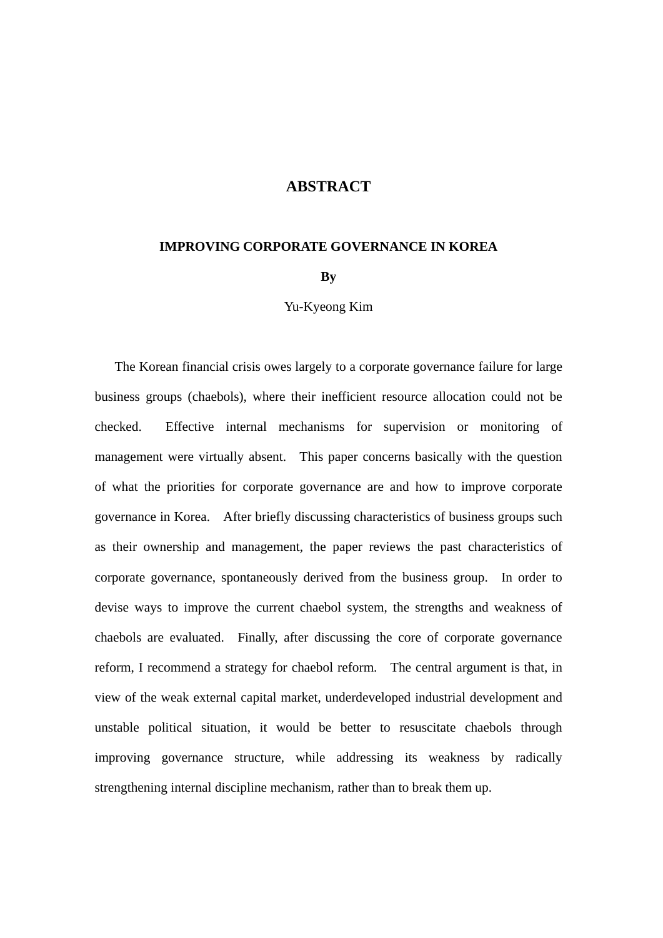## **ABSTRACT**

#### **IMPROVING CORPORATE GOVERNANCE IN KOREA**

#### **By**

#### Yu-Kyeong Kim

The Korean financial crisis owes largely to a corporate governance failure for large business groups (chaebols), where their inefficient resource allocation could not be checked. Effective internal mechanisms for supervision or monitoring of management were virtually absent. This paper concerns basically with the question of what the priorities for corporate governance are and how to improve corporate governance in Korea. After briefly discussing characteristics of business groups such as their ownership and management, the paper reviews the past characteristics of corporate governance, spontaneously derived from the business group. In order to devise ways to improve the current chaebol system, the strengths and weakness of chaebols are evaluated. Finally, after discussing the core of corporate governance reform, I recommend a strategy for chaebol reform. The central argument is that, in view of the weak external capital market, underdeveloped industrial development and unstable political situation, it would be better to resuscitate chaebols through improving governance structure, while addressing its weakness by radically strengthening internal discipline mechanism, rather than to break them up.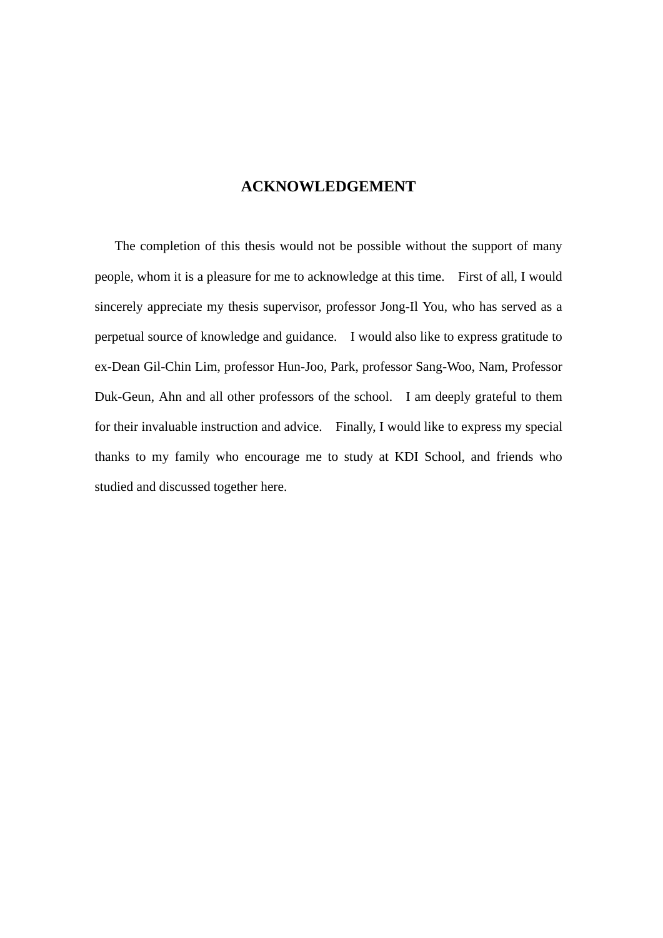## **ACKNOWLEDGEMENT**

 The completion of this thesis would not be possible without the support of many people, whom it is a pleasure for me to acknowledge at this time. First of all, I would sincerely appreciate my thesis supervisor, professor Jong-Il You, who has served as a perpetual source of knowledge and guidance. I would also like to express gratitude to ex-Dean Gil-Chin Lim, professor Hun-Joo, Park, professor Sang-Woo, Nam, Professor Duk-Geun, Ahn and all other professors of the school. I am deeply grateful to them for their invaluable instruction and advice. Finally, I would like to express my special thanks to my family who encourage me to study at KDI School, and friends who studied and discussed together here.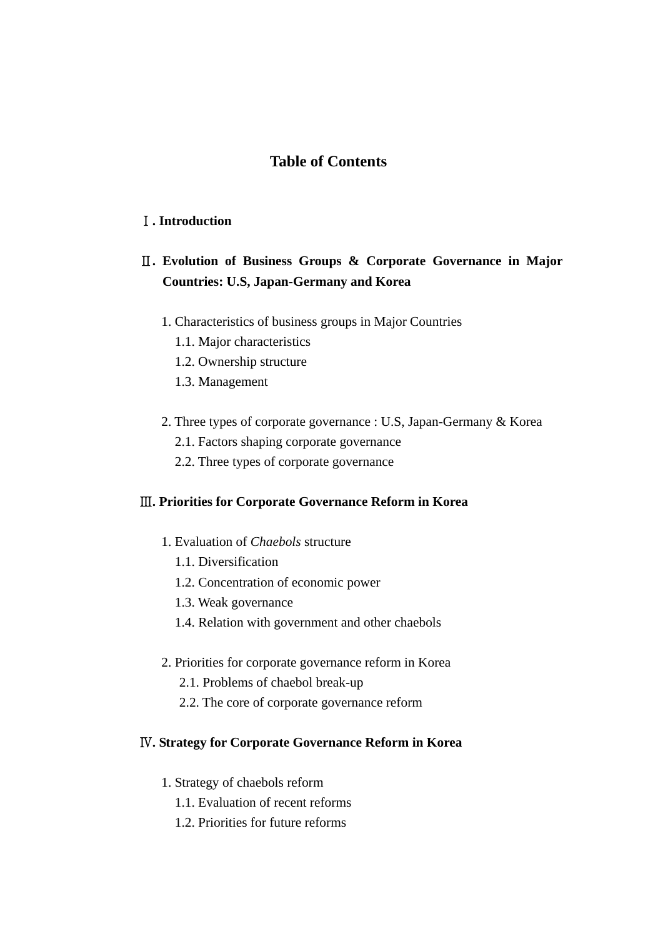## **Table of Contents**

## Ⅰ**. Introduction**

## Ⅱ**. Evolution of Business Groups & Corporate Governance in Major Countries: U.S, Japan-Germany and Korea**

- 1. Characteristics of business groups in Major Countries
	- 1.1. Major characteristics
	- 1.2. Ownership structure
	- 1.3. Management
- 2. Three types of corporate governance : U.S, Japan-Germany & Korea
	- 2.1. Factors shaping corporate governance
	- 2.2. Three types of corporate governance

## Ⅲ**. Priorities for Corporate Governance Reform in Korea**

- 1. Evaluation of *Chaebols* structure
	- 1.1. Diversification
	- 1.2. Concentration of economic power
	- 1.3. Weak governance
	- 1.4. Relation with government and other chaebols
- 2. Priorities for corporate governance reform in Korea
	- 2.1. Problems of chaebol break-up
	- 2.2. The core of corporate governance reform

## Ⅳ**. Strategy for Corporate Governance Reform in Korea**

- 1. Strategy of chaebols reform
	- 1.1. Evaluation of recent reforms
	- 1.2. Priorities for future reforms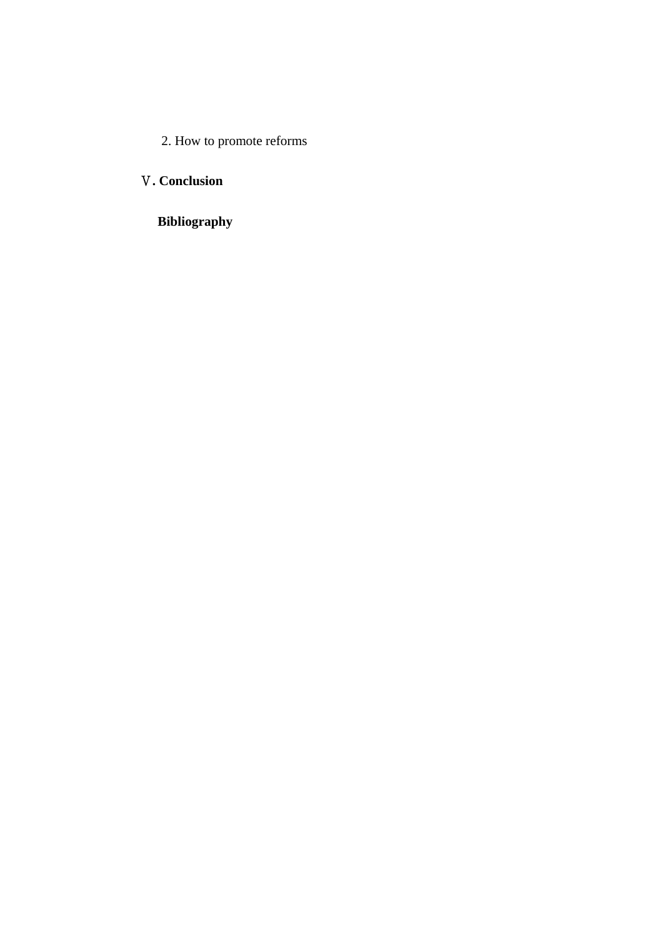2. How to promote reforms

## Ⅴ**. Conclusion**

## **Bibliography**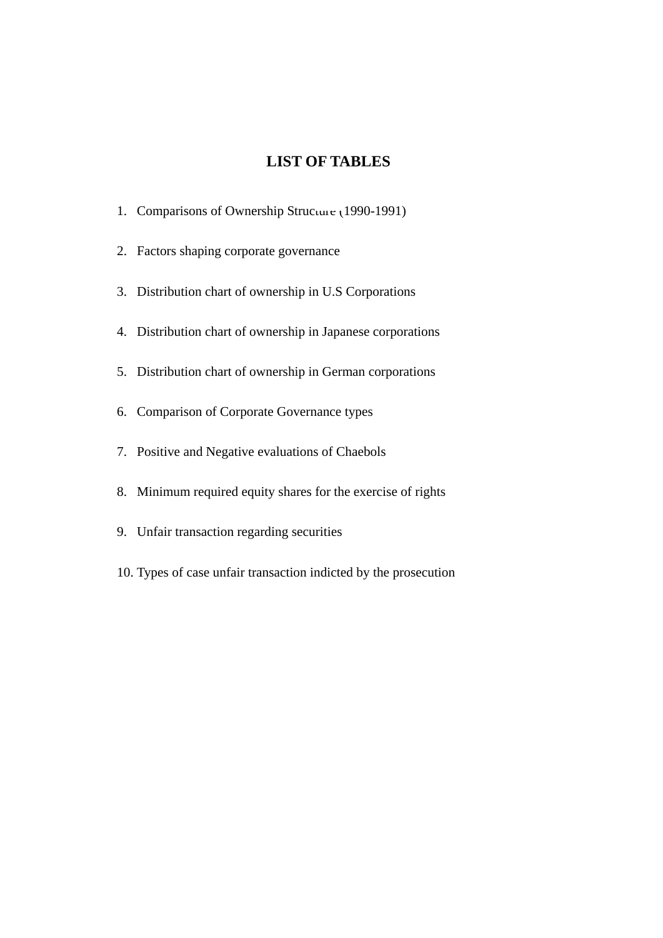## **LIST OF TABLES**

- 1. Comparisons of Ownership Structure (1990-1991)
- 2. Factors shaping corporate governance
- 3. Distribution chart of ownership in U.S Corporations
- 4. Distribution chart of ownership in Japanese corporations
- 5. Distribution chart of ownership in German corporations
- 6. Comparison of Corporate Governance types
- 7. Positive and Negative evaluations of Chaebols
- 8. Minimum required equity shares for the exercise of rights
- 9. Unfair transaction regarding securities
- 10. Types of case unfair transaction indicted by the prosecution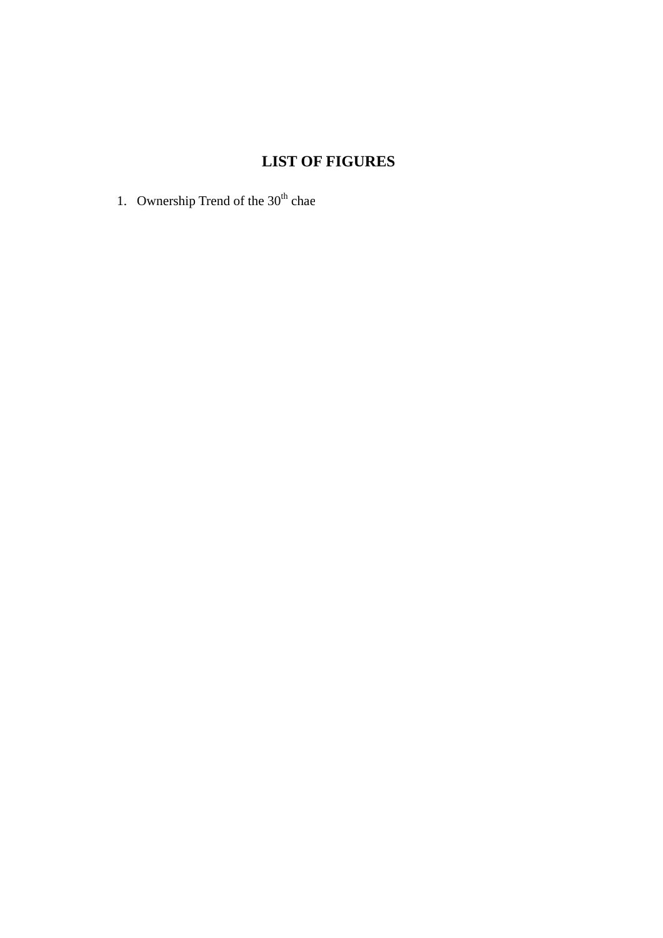## **LIST OF FIGURES**

1. Ownership Trend of the  $30<sup>th</sup>$  chae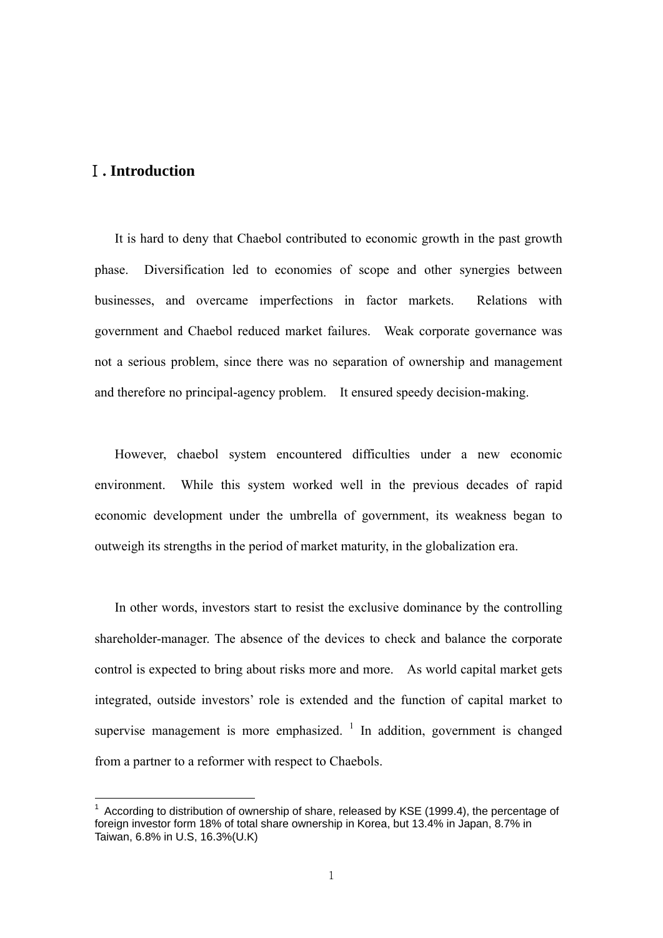## Ⅰ**. Introduction**

1

It is hard to deny that Chaebol contributed to economic growth in the past growth phase. Diversification led to economies of scope and other synergies between businesses, and overcame imperfections in factor markets. Relations with government and Chaebol reduced market failures. Weak corporate governance was not a serious problem, since there was no separation of ownership and management and therefore no principal-agency problem. It ensured speedy decision-making.

However, chaebol system encountered difficulties under a new economic environment. While this system worked well in the previous decades of rapid economic development under the umbrella of government, its weakness began to outweigh its strengths in the period of market maturity, in the globalization era.

In other words, investors start to resist the exclusive dominance by the controlling shareholder-manager. The absence of the devices to check and balance the corporate control is expected to bring about risks more and more. As world capital market gets integrated, outside investors' role is extended and the function of capital market to supervise management is more emphasized.  $\frac{1}{1}$  In addition, government is changed from a partner to a reformer with respect to Chaebols.

 $1$  According to distribution of ownership of share, released by KSE (1999.4), the percentage of foreign investor form 18% of total share ownership in Korea, but 13.4% in Japan, 8.7% in Taiwan, 6.8% in U.S, 16.3%(U.K)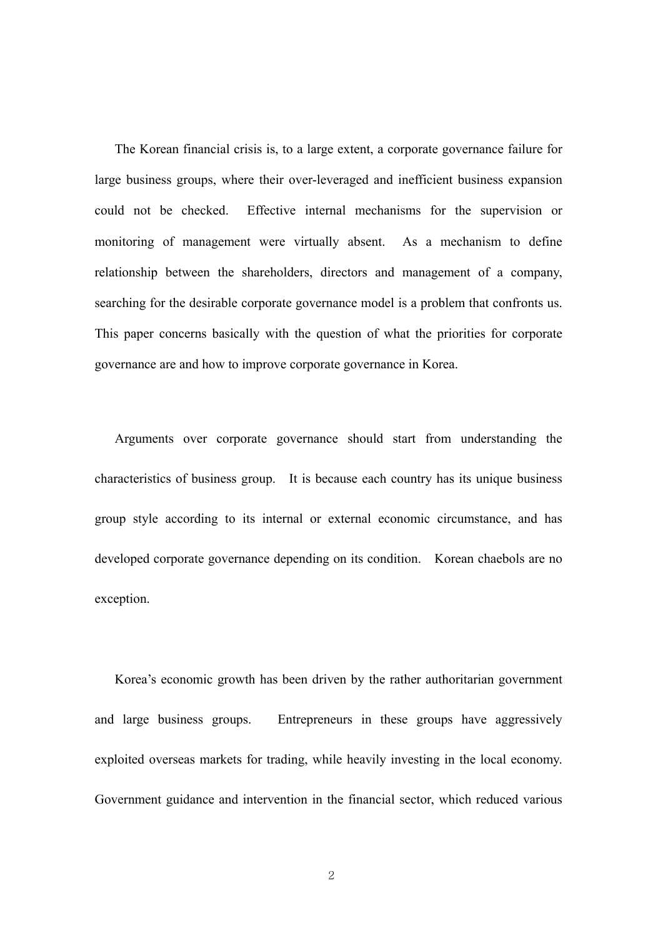The Korean financial crisis is, to a large extent, a corporate governance failure for large business groups, where their over-leveraged and inefficient business expansion could not be checked. Effective internal mechanisms for the supervision or monitoring of management were virtually absent. As a mechanism to define relationship between the shareholders, directors and management of a company, searching for the desirable corporate governance model is a problem that confronts us. This paper concerns basically with the question of what the priorities for corporate governance are and how to improve corporate governance in Korea.

Arguments over corporate governance should start from understanding the characteristics of business group. It is because each country has its unique business group style according to its internal or external economic circumstance, and has developed corporate governance depending on its condition. Korean chaebols are no exception.

Korea's economic growth has been driven by the rather authoritarian government and large business groups. Entrepreneurs in these groups have aggressively exploited overseas markets for trading, while heavily investing in the local economy. Government guidance and intervention in the financial sector, which reduced various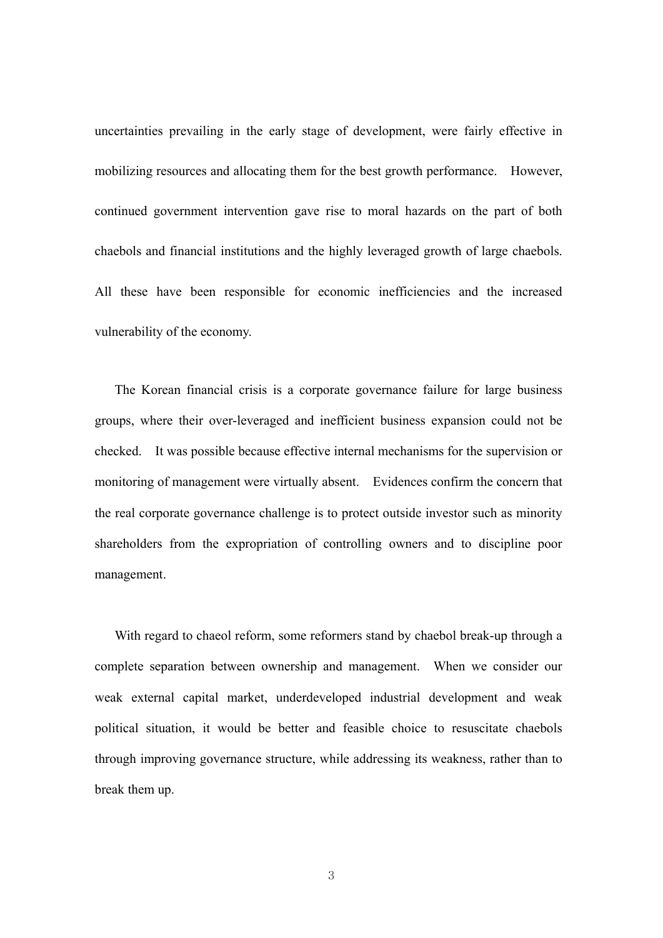uncertainties prevailing in the early stage of development, were fairly effective in mobilizing resources and allocating them for the best growth performance. However, continued government intervention gave rise to moral hazards on the part of both chaebols and financial institutions and the highly leveraged growth of large chaebols. All these have been responsible for economic inefficiencies and the increased vulnerability of the economy.

The Korean financial crisis is a corporate governance failure for large business groups, where their over-leveraged and inefficient business expansion could not be checked. It was possible because effective internal mechanisms for the supervision or monitoring of management were virtually absent. Evidences confirm the concern that the real corporate governance challenge is to protect outside investor such as minority shareholders from the expropriation of controlling owners and to discipline poor management.

With regard to chaeol reform, some reformers stand by chaebol break-up through a complete separation between ownership and management. When we consider our weak external capital market, underdeveloped industrial development and weak political situation, it would be better and feasible choice to resuscitate chaebols through improving governance structure, while addressing its weakness, rather than to break them up.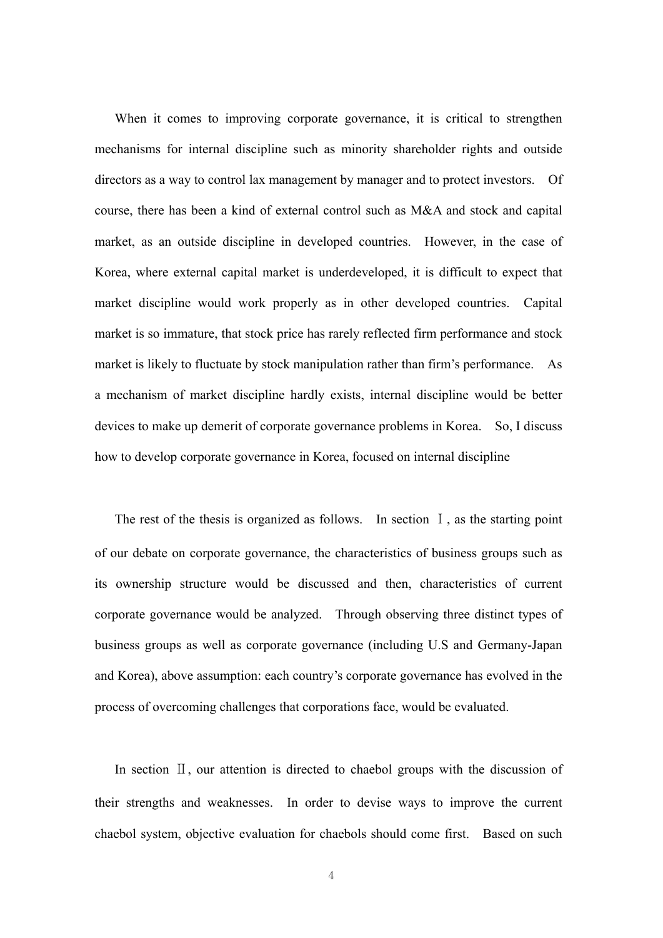When it comes to improving corporate governance, it is critical to strengthen mechanisms for internal discipline such as minority shareholder rights and outside directors as a way to control lax management by manager and to protect investors. Of course, there has been a kind of external control such as M&A and stock and capital market, as an outside discipline in developed countries. However, in the case of Korea, where external capital market is underdeveloped, it is difficult to expect that market discipline would work properly as in other developed countries. Capital market is so immature, that stock price has rarely reflected firm performance and stock market is likely to fluctuate by stock manipulation rather than firm's performance. As a mechanism of market discipline hardly exists, internal discipline would be better devices to make up demerit of corporate governance problems in Korea. So, I discuss how to develop corporate governance in Korea, focused on internal discipline

The rest of the thesis is organized as follows. In section I, as the starting point of our debate on corporate governance, the characteristics of business groups such as its ownership structure would be discussed and then, characteristics of current corporate governance would be analyzed. Through observing three distinct types of business groups as well as corporate governance (including U.S and Germany-Japan and Korea), above assumption: each country's corporate governance has evolved in the process of overcoming challenges that corporations face, would be evaluated.

In section  $\mathbb{I}$ , our attention is directed to chaebol groups with the discussion of their strengths and weaknesses. In order to devise ways to improve the current chaebol system, objective evaluation for chaebols should come first. Based on such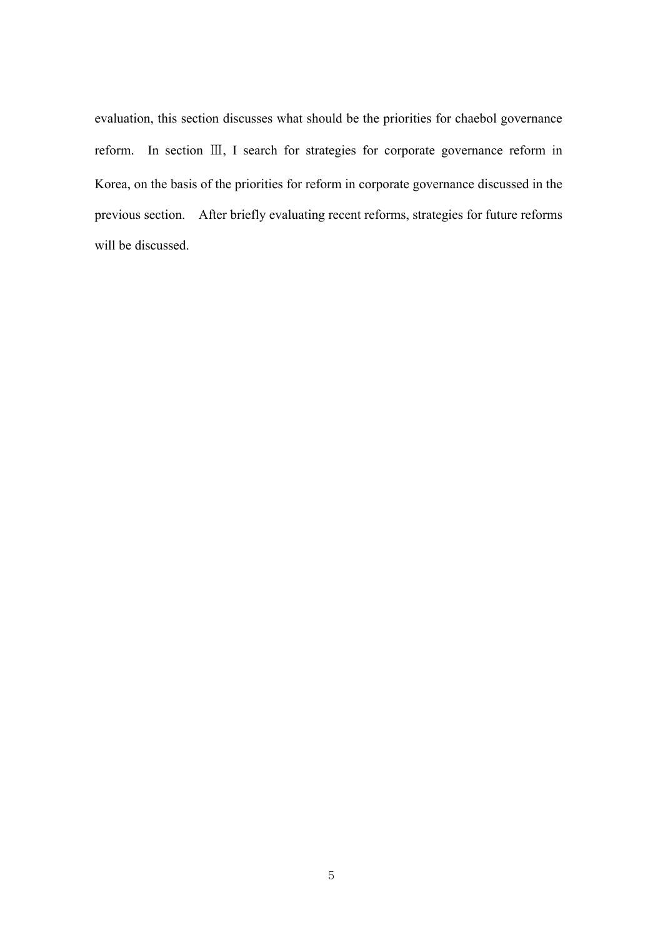evaluation, this section discusses what should be the priorities for chaebol governance reform. In section Ⅲ, I search for strategies for corporate governance reform in Korea, on the basis of the priorities for reform in corporate governance discussed in the previous section. After briefly evaluating recent reforms, strategies for future reforms will be discussed.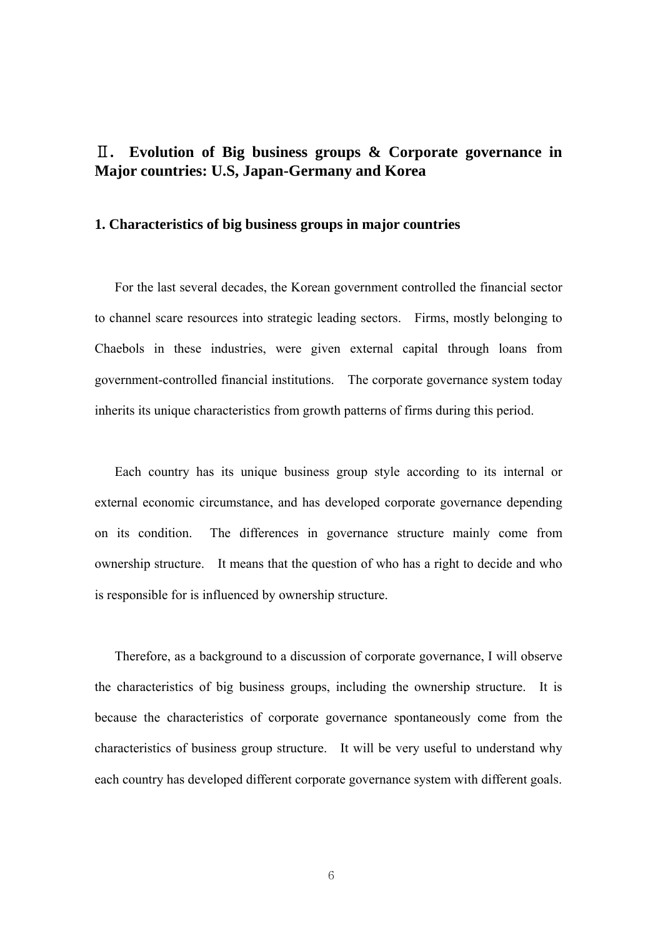## Ⅱ**. Evolution of Big business groups & Corporate governance in Major countries: U.S, Japan-Germany and Korea**

#### **1. Characteristics of big business groups in major countries**

For the last several decades, the Korean government controlled the financial sector to channel scare resources into strategic leading sectors. Firms, mostly belonging to Chaebols in these industries, were given external capital through loans from government-controlled financial institutions. The corporate governance system today inherits its unique characteristics from growth patterns of firms during this period.

Each country has its unique business group style according to its internal or external economic circumstance, and has developed corporate governance depending on its condition. The differences in governance structure mainly come from ownership structure. It means that the question of who has a right to decide and who is responsible for is influenced by ownership structure.

Therefore, as a background to a discussion of corporate governance, I will observe the characteristics of big business groups, including the ownership structure. It is because the characteristics of corporate governance spontaneously come from the characteristics of business group structure. It will be very useful to understand why each country has developed different corporate governance system with different goals.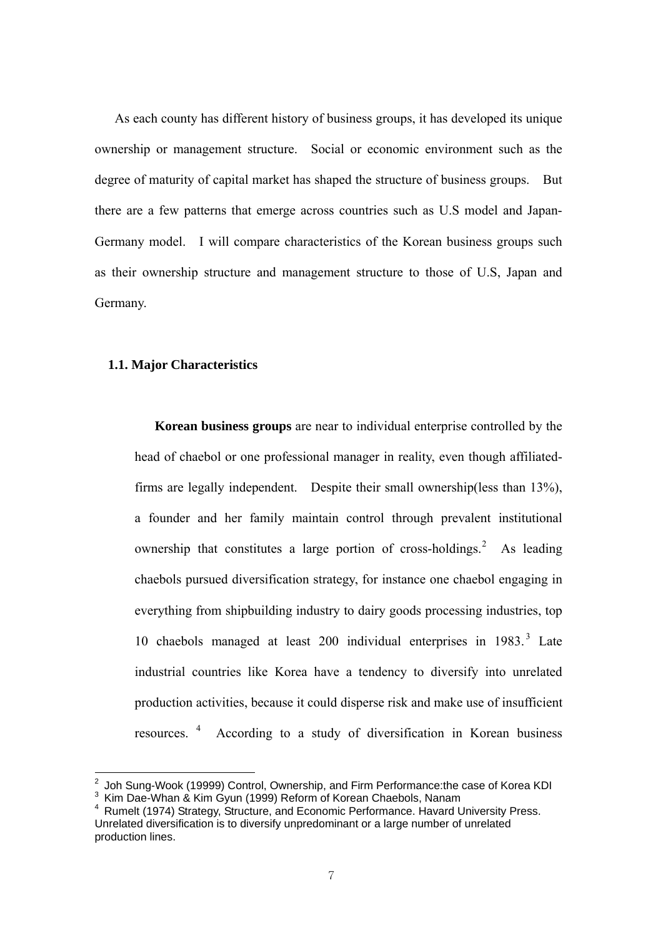As each county has different history of business groups, it has developed its unique ownership or management structure. Social or economic environment such as the degree of maturity of capital market has shaped the structure of business groups. But there are a few patterns that emerge across countries such as U.S model and Japan-Germany model. I will compare characteristics of the Korean business groups such as their ownership structure and management structure to those of U.S, Japan and Germany.

## **1.1. Major Characteristics**

1

**Korean business groups** are near to individual enterprise controlled by the head of chaebol or one professional manager in reality, even though affiliatedfirms are legally independent. Despite their small ownership(less than 13%), a founder and her family maintain control through prevalent institutional ownership that constitutes a large portion of cross-holdings. $2$  As leading chaebols pursued diversification strategy, for instance one chaebol engaging in everything from shipbuilding industry to dairy goods processing industries, top 10 chaebols managed at least 200 individual enterprises in 1983.<sup>3</sup> Late industrial countries like Korea have a tendency to diversify into unrelated production activities, because it could disperse risk and make use of insufficient resources. <sup>4</sup> According to a study of diversification in Korean business

<sup>2</sup> Joh Sung-Wook (19999) Control, Ownership, and Firm Performance:the case of Korea KDI <sup>3</sup> Kim Dae-Whan & Kim Gyun (1999) Reform of Korean Chaebols, Nanam

<sup>4</sup> Rumelt (1974) Strategy, Structure, and Economic Performance. Havard University Press. Unrelated diversification is to diversify unpredominant or a large number of unrelated production lines.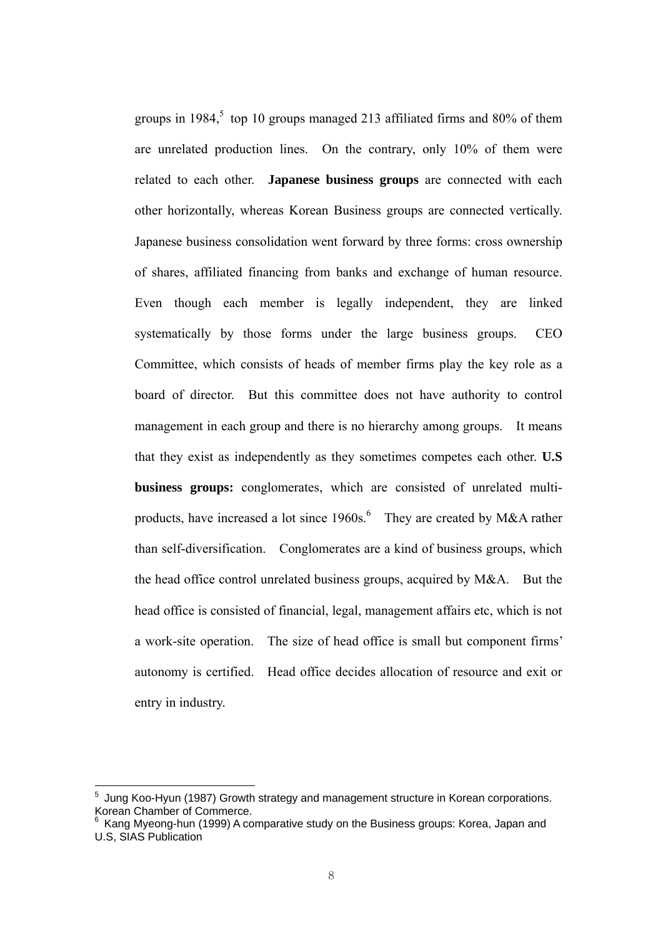groups in 1984,<sup>5</sup> top 10 groups managed 213 affiliated firms and 80% of them are unrelated production lines. On the contrary, only 10% of them were related to each other. **Japanese business groups** are connected with each other horizontally, whereas Korean Business groups are connected vertically. Japanese business consolidation went forward by three forms: cross ownership of shares, affiliated financing from banks and exchange of human resource. Even though each member is legally independent, they are linked systematically by those forms under the large business groups. CEO Committee, which consists of heads of member firms play the key role as a board of director. But this committee does not have authority to control management in each group and there is no hierarchy among groups. It means that they exist as independently as they sometimes competes each other. **U.S business groups:** conglomerates, which are consisted of unrelated multiproducts, have increased a lot since  $1960s$ .<sup>6</sup> They are created by M&A rather than self-diversification. Conglomerates are a kind of business groups, which the head office control unrelated business groups, acquired by M&A. But the head office is consisted of financial, legal, management affairs etc, which is not a work-site operation. The size of head office is small but component firms' autonomy is certified. Head office decides allocation of resource and exit or entry in industry.

<u>.</u>

<sup>&</sup>lt;sup>5</sup> Jung Koo-Hyun (1987) Growth strategy and management structure in Korean corporations. Korean Chamber of Commerce.<br><sup>6</sup> Keng Myseng bun (1000) A so

Kang Myeong-hun (1999) A comparative study on the Business groups: Korea, Japan and U.S, SIAS Publication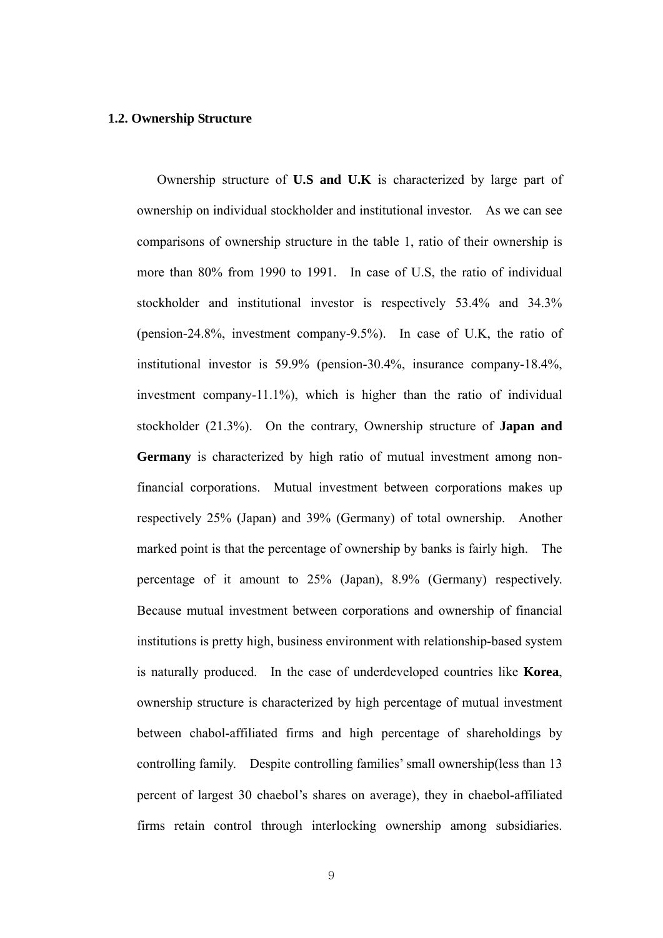#### **1.2. Ownership Structure**

Ownership structure of **U.S and U.K** is characterized by large part of ownership on individual stockholder and institutional investor. As we can see comparisons of ownership structure in the table 1, ratio of their ownership is more than 80% from 1990 to 1991. In case of U.S, the ratio of individual stockholder and institutional investor is respectively 53.4% and 34.3% (pension-24.8%, investment company-9.5%). In case of U.K, the ratio of institutional investor is 59.9% (pension-30.4%, insurance company-18.4%, investment company-11.1%), which is higher than the ratio of individual stockholder (21.3%). On the contrary, Ownership structure of **Japan and Germany** is characterized by high ratio of mutual investment among nonfinancial corporations. Mutual investment between corporations makes up respectively 25% (Japan) and 39% (Germany) of total ownership. Another marked point is that the percentage of ownership by banks is fairly high. The percentage of it amount to 25% (Japan), 8.9% (Germany) respectively. Because mutual investment between corporations and ownership of financial institutions is pretty high, business environment with relationship-based system is naturally produced. In the case of underdeveloped countries like **Korea**, ownership structure is characterized by high percentage of mutual investment between chabol-affiliated firms and high percentage of shareholdings by controlling family. Despite controlling families' small ownership(less than 13 percent of largest 30 chaebol's shares on average), they in chaebol-affiliated firms retain control through interlocking ownership among subsidiaries.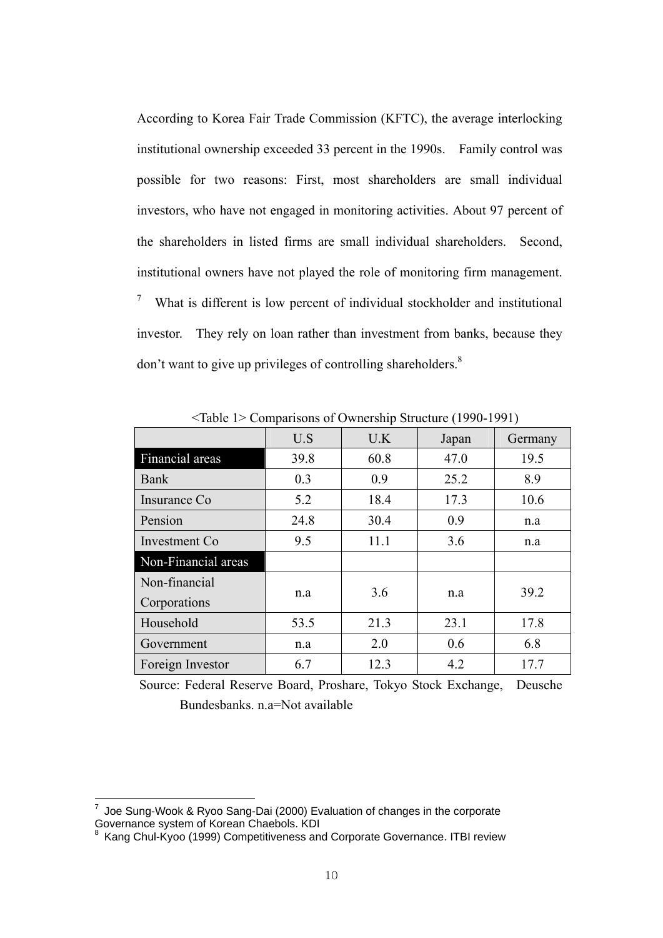According to Korea Fair Trade Commission (KFTC), the average interlocking institutional ownership exceeded 33 percent in the 1990s. Family control was possible for two reasons: First, most shareholders are small individual investors, who have not engaged in monitoring activities. About 97 percent of the shareholders in listed firms are small individual shareholders. Second, institutional owners have not played the role of monitoring firm management. 7 What is different is low percent of individual stockholder and institutional investor. They rely on loan rather than investment from banks, because they don't want to give up privileges of controlling shareholders.<sup>8</sup>

|                     | U.S  | U.K  | Japan | Germany |
|---------------------|------|------|-------|---------|
| Financial areas     | 39.8 | 60.8 | 47.0  | 19.5    |
| Bank                | 0.3  | 0.9  | 25.2  | 8.9     |
| Insurance Co        | 5.2  | 18.4 | 17.3  | 10.6    |
| Pension             | 24.8 | 30.4 | 0.9   | n.a     |
| Investment Co.      | 9.5  | 11.1 | 3.6   | n.a     |
| Non-Financial areas |      |      |       |         |
| Non-financial       |      | 3.6  |       | 39.2    |
| Corporations        | n.a  |      | n.a   |         |
| Household           | 53.5 | 21.3 | 23.1  | 17.8    |
| Government          | n.a  | 2.0  | 0.6   | 6.8     |
| Foreign Investor    | 6.7  | 12.3 | 4.2   | 17.7    |

<Table 1> Comparisons of Ownership Structure (1990-1991)

Source: Federal Reserve Board, Proshare, Tokyo Stock Exchange, Deusche Bundesbanks. n.a=Not available

 7 Joe Sung-Wook & Ryoo Sang-Dai (2000) Evaluation of changes in the corporate Governance system of Korean Chaebols. KDI<br><sup>8</sup> Kang Chul-Kyoo (1999) Competitiveness and Corporate Governance. ITBI review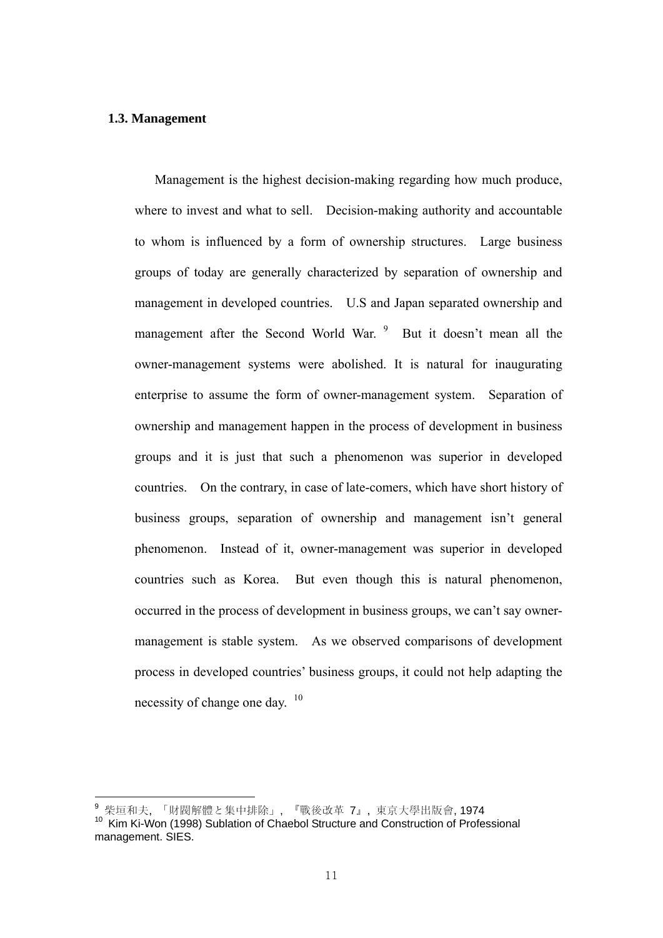## **1.3. Management**

Management is the highest decision-making regarding how much produce, where to invest and what to sell. Decision-making authority and accountable to whom is influenced by a form of ownership structures. Large business groups of today are generally characterized by separation of ownership and management in developed countries. U.S and Japan separated ownership and management after the Second World War. <sup>9</sup> But it doesn't mean all the owner-management systems were abolished. It is natural for inaugurating enterprise to assume the form of owner-management system. Separation of ownership and management happen in the process of development in business groups and it is just that such a phenomenon was superior in developed countries. On the contrary, in case of late-comers, which have short history of business groups, separation of ownership and management isn't general phenomenon. Instead of it, owner-management was superior in developed countries such as Korea. But even though this is natural phenomenon, occurred in the process of development in business groups, we can't say ownermanagement is stable system. As we observed comparisons of development process in developed countries' business groups, it could not help adapting the necessity of change one day. <sup>10</sup>

<sup>9</sup> 柴垣和夫, 「財閥解體と集中排除」, 『戰後改革 7』, 東京大學出版會, 1974

<sup>10</sup> Kim Ki-Won (1998) Sublation of Chaebol Structure and Construction of Professional management. SIES.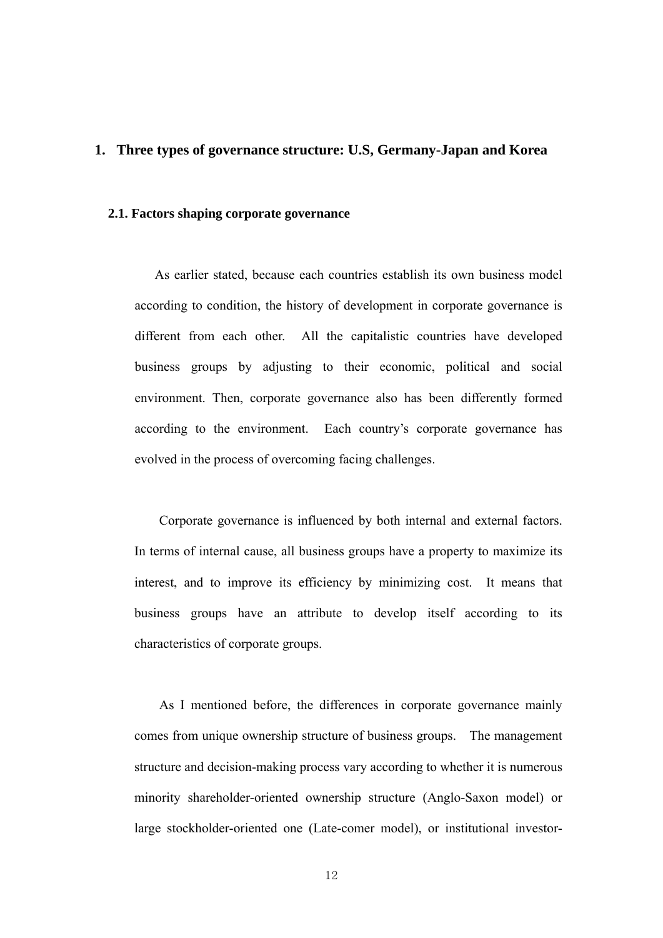## **1. Three types of governance structure: U.S, Germany-Japan and Korea**

## **2.1. Factors shaping corporate governance**

As earlier stated, because each countries establish its own business model according to condition, the history of development in corporate governance is different from each other. All the capitalistic countries have developed business groups by adjusting to their economic, political and social environment. Then, corporate governance also has been differently formed according to the environment. Each country's corporate governance has evolved in the process of overcoming facing challenges.

Corporate governance is influenced by both internal and external factors. In terms of internal cause, all business groups have a property to maximize its interest, and to improve its efficiency by minimizing cost. It means that business groups have an attribute to develop itself according to its characteristics of corporate groups.

As I mentioned before, the differences in corporate governance mainly comes from unique ownership structure of business groups. The management structure and decision-making process vary according to whether it is numerous minority shareholder-oriented ownership structure (Anglo-Saxon model) or large stockholder-oriented one (Late-comer model), or institutional investor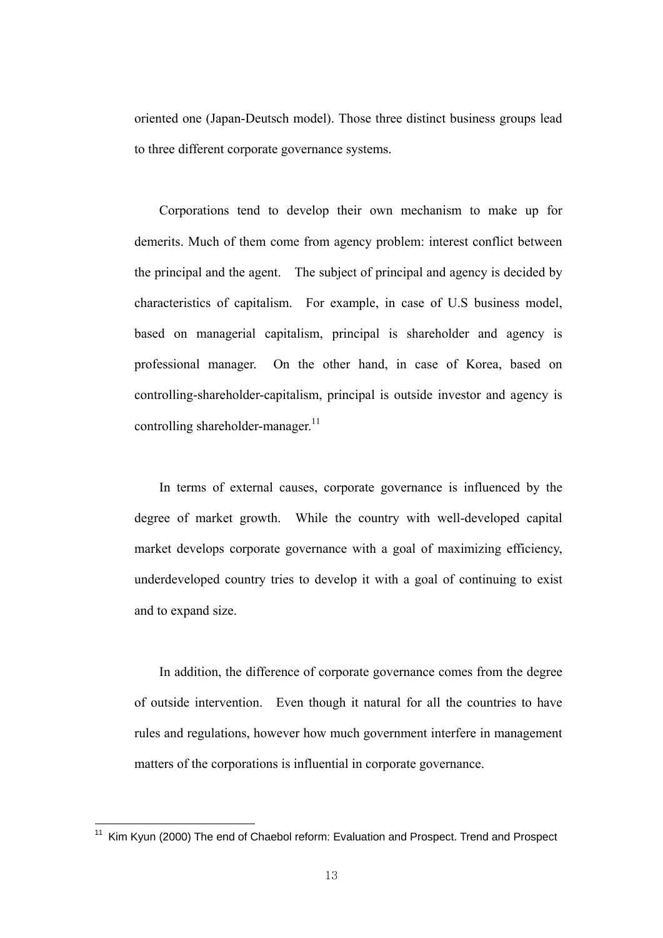oriented one (Japan-Deutsch model). Those three distinct business groups lead to three different corporate governance systems.

Corporations tend to develop their own mechanism to make up for demerits. Much of them come from agency problem: interest conflict between the principal and the agent. The subject of principal and agency is decided by characteristics of capitalism. For example, in case of U.S business model, based on managerial capitalism, principal is shareholder and agency is professional manager. On the other hand, in case of Korea, based on controlling-shareholder-capitalism, principal is outside investor and agency is controlling shareholder-manager.<sup>11</sup>

In terms of external causes, corporate governance is influenced by the degree of market growth. While the country with well-developed capital market develops corporate governance with a goal of maximizing efficiency, underdeveloped country tries to develop it with a goal of continuing to exist and to expand size.

In addition, the difference of corporate governance comes from the degree of outside intervention. Even though it natural for all the countries to have rules and regulations, however how much government interfere in management matters of the corporations is influential in corporate governance.

<u>.</u>

<sup>&</sup>lt;sup>11</sup> Kim Kyun (2000) The end of Chaebol reform: Evaluation and Prospect. Trend and Prospect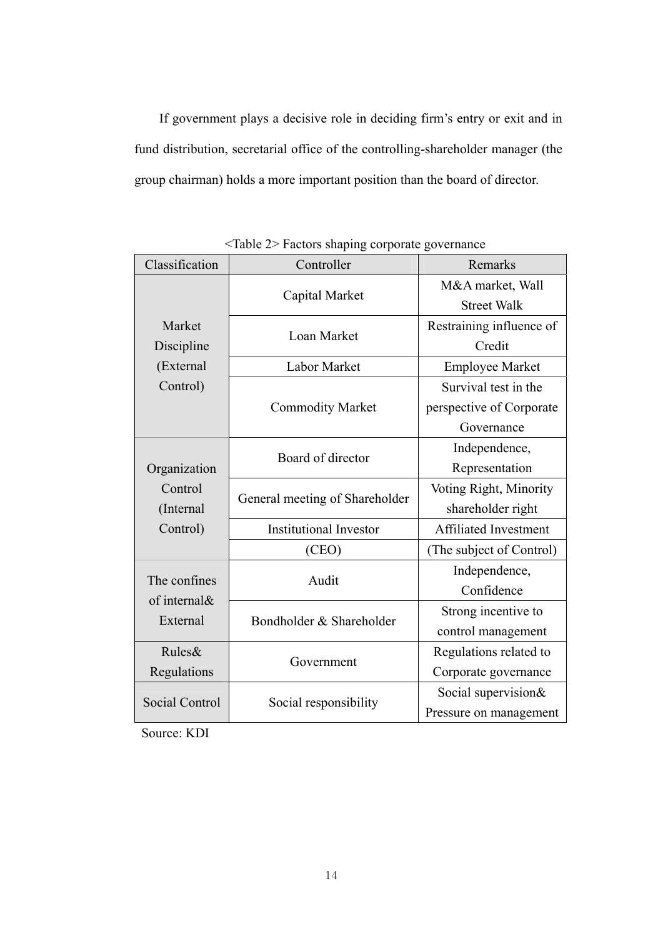If government plays a decisive role in deciding firm's entry or exit and in fund distribution, secretarial office of the controlling-shareholder manager (the group chairman) holds a more important position than the board of director.

| Classification | Controller                     | Remarks                      |
|----------------|--------------------------------|------------------------------|
|                |                                | M&A market, Wall             |
|                | Capital Market                 | <b>Street Walk</b>           |
| Market         |                                | Restraining influence of     |
| Discipline     | Loan Market                    | Credit                       |
| (External      | <b>Labor Market</b>            | <b>Employee Market</b>       |
| Control)       |                                | Survival test in the         |
|                | <b>Commodity Market</b>        | perspective of Corporate     |
|                |                                | Governance                   |
|                | Board of director              | Independence,                |
| Organization   |                                | Representation               |
| Control        |                                | Voting Right, Minority       |
| (Internal      | General meeting of Shareholder | shareholder right            |
| Control)       | <b>Institutional Investor</b>  | <b>Affiliated Investment</b> |
|                | (CEO)                          | (The subject of Control)     |
| The confines   | Audit                          | Independence,                |
| of internal&   |                                | Confidence                   |
| External       | Bondholder & Shareholder       | Strong incentive to          |
|                |                                | control management           |
| Rules&         |                                | Regulations related to       |
| Regulations    | Government                     | Corporate governance         |
| Social Control |                                | Social supervision&          |
|                | Social responsibility          | Pressure on management       |

<Table 2> Factors shaping corporate governance

Source: KDI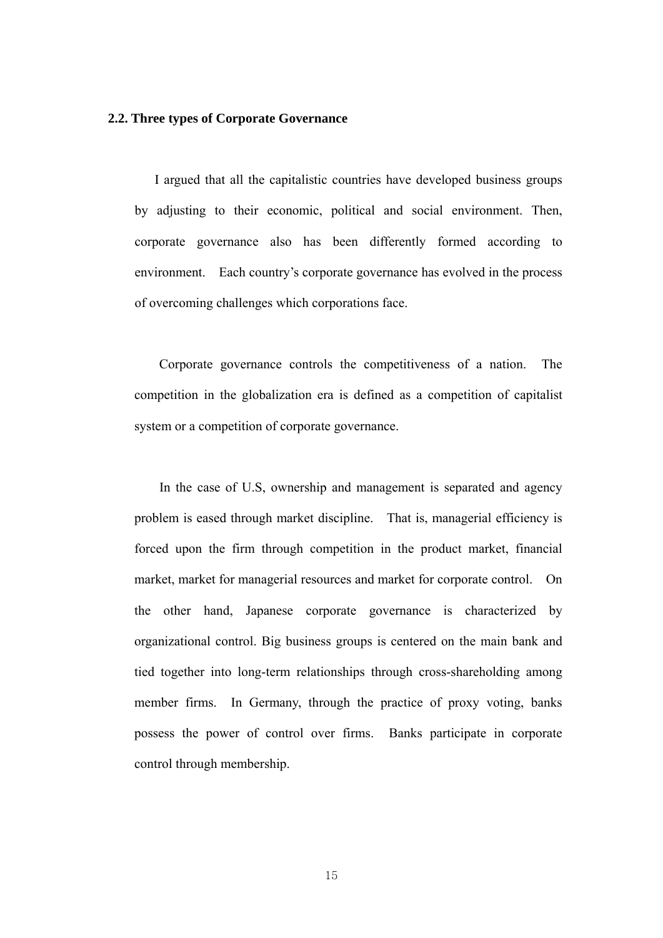#### **2.2. Three types of Corporate Governance**

I argued that all the capitalistic countries have developed business groups by adjusting to their economic, political and social environment. Then, corporate governance also has been differently formed according to environment. Each country's corporate governance has evolved in the process of overcoming challenges which corporations face.

Corporate governance controls the competitiveness of a nation. The competition in the globalization era is defined as a competition of capitalist system or a competition of corporate governance.

In the case of U.S, ownership and management is separated and agency problem is eased through market discipline. That is, managerial efficiency is forced upon the firm through competition in the product market, financial market, market for managerial resources and market for corporate control. On the other hand, Japanese corporate governance is characterized by organizational control. Big business groups is centered on the main bank and tied together into long-term relationships through cross-shareholding among member firms. In Germany, through the practice of proxy voting, banks possess the power of control over firms. Banks participate in corporate control through membership.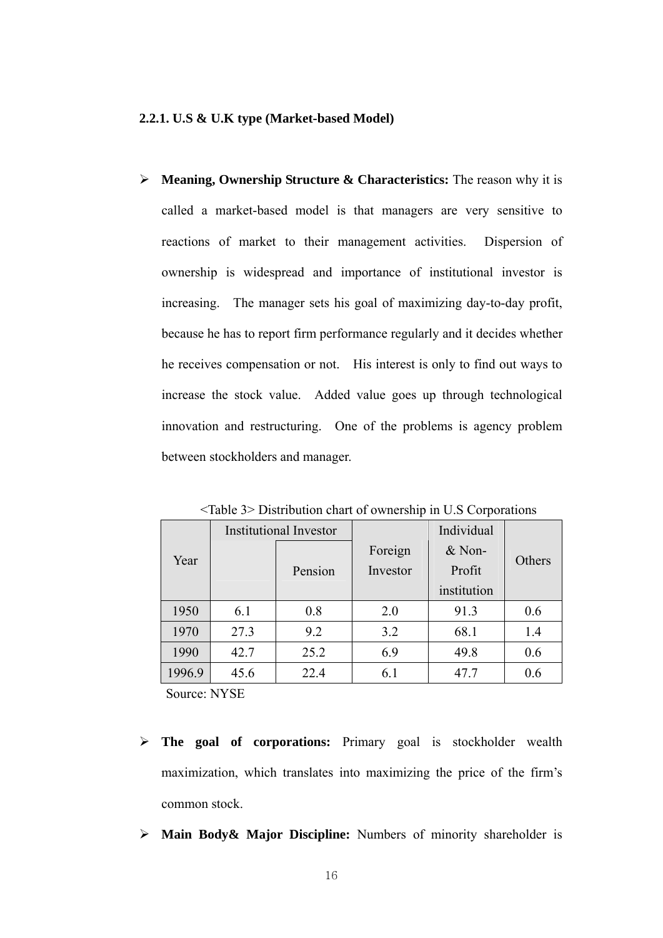¾ **Meaning, Ownership Structure & Characteristics:** The reason why it is called a market-based model is that managers are very sensitive to reactions of market to their management activities. Dispersion of ownership is widespread and importance of institutional investor is increasing. The manager sets his goal of maximizing day-to-day profit, because he has to report firm performance regularly and it decides whether he receives compensation or not. His interest is only to find out ways to increase the stock value. Added value goes up through technological innovation and restructuring. One of the problems is agency problem between stockholders and manager.

|        | <b>Institutional Investor</b> |      |          | Individual  |        |  |
|--------|-------------------------------|------|----------|-------------|--------|--|
| Year   |                               |      | Foreign  |             |        |  |
|        | Pension                       |      | Investor | Profit      | Others |  |
|        |                               |      |          | institution |        |  |
| 1950   | 6.1                           | 0.8  | 2.0      | 91.3        | 0.6    |  |
| 1970   | 27.3                          | 9.2  | 3.2      | 68.1        | 1.4    |  |
| 1990   | 42.7                          | 25.2 | 6.9      | 49.8        | 0.6    |  |
| 1996.9 | 45.6                          | 22.4 | 6.1      | 47.7        | 0.6    |  |

<Table 3> Distribution chart of ownership in U.S Corporations

Source: NYSE

- ¾ **The goal of corporations:** Primary goal is stockholder wealth maximization, which translates into maximizing the price of the firm's common stock.
- ¾ **Main Body& Major Discipline:** Numbers of minority shareholder is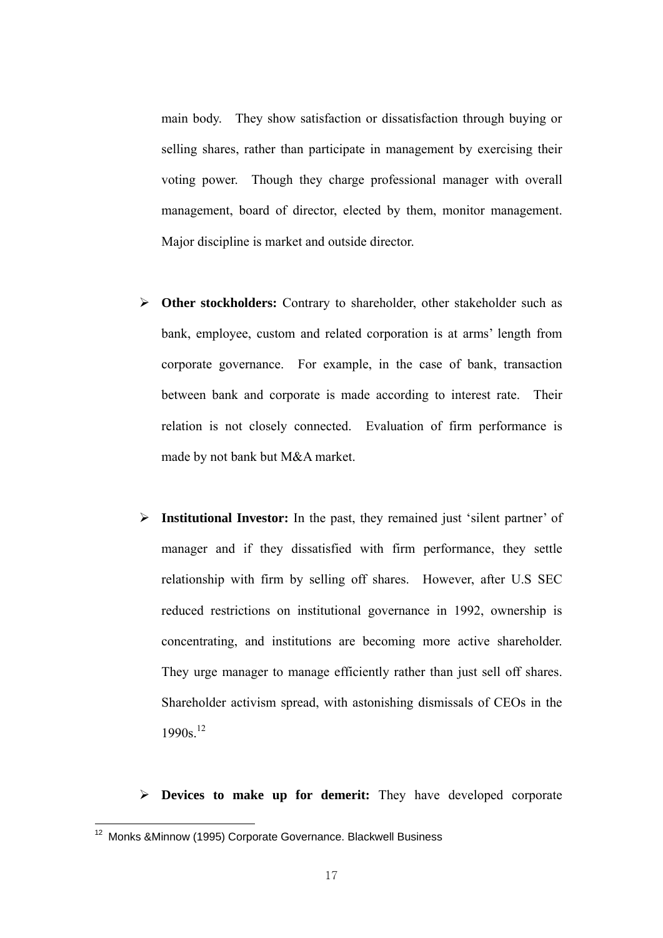main body. They show satisfaction or dissatisfaction through buying or selling shares, rather than participate in management by exercising their voting power. Though they charge professional manager with overall management, board of director, elected by them, monitor management. Major discipline is market and outside director.

- ¾ **Other stockholders:** Contrary to shareholder, other stakeholder such as bank, employee, custom and related corporation is at arms' length from corporate governance. For example, in the case of bank, transaction between bank and corporate is made according to interest rate. Their relation is not closely connected. Evaluation of firm performance is made by not bank but M&A market.
- ¾ **Institutional Investor:** In the past, they remained just 'silent partner' of manager and if they dissatisfied with firm performance, they settle relationship with firm by selling off shares. However, after U.S SEC reduced restrictions on institutional governance in 1992, ownership is concentrating, and institutions are becoming more active shareholder. They urge manager to manage efficiently rather than just sell off shares. Shareholder activism spread, with astonishing dismissals of CEOs in the 1990s.12

¾ **Devices to make up for demerit:** They have developed corporate

<u>.</u>

<sup>&</sup>lt;sup>12</sup> Monks & Minnow (1995) Corporate Governance. Blackwell Business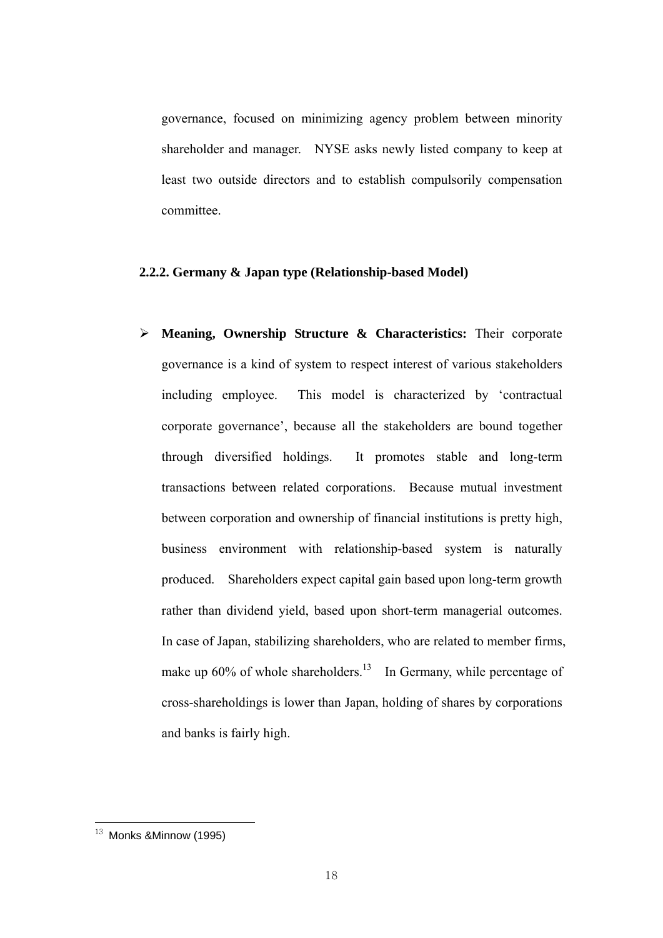governance, focused on minimizing agency problem between minority shareholder and manager. NYSE asks newly listed company to keep at least two outside directors and to establish compulsorily compensation committee.

## **2.2.2. Germany & Japan type (Relationship-based Model)**

¾ **Meaning, Ownership Structure & Characteristics:** Their corporate governance is a kind of system to respect interest of various stakeholders including employee. This model is characterized by 'contractual corporate governance', because all the stakeholders are bound together through diversified holdings. It promotes stable and long-term transactions between related corporations. Because mutual investment between corporation and ownership of financial institutions is pretty high, business environment with relationship-based system is naturally produced. Shareholders expect capital gain based upon long-term growth rather than dividend yield, based upon short-term managerial outcomes. In case of Japan, stabilizing shareholders, who are related to member firms, make up  $60\%$  of whole shareholders.<sup>13</sup> In Germany, while percentage of cross-shareholdings is lower than Japan, holding of shares by corporations and banks is fairly high.

 $13$  Monks &Minnow (1995)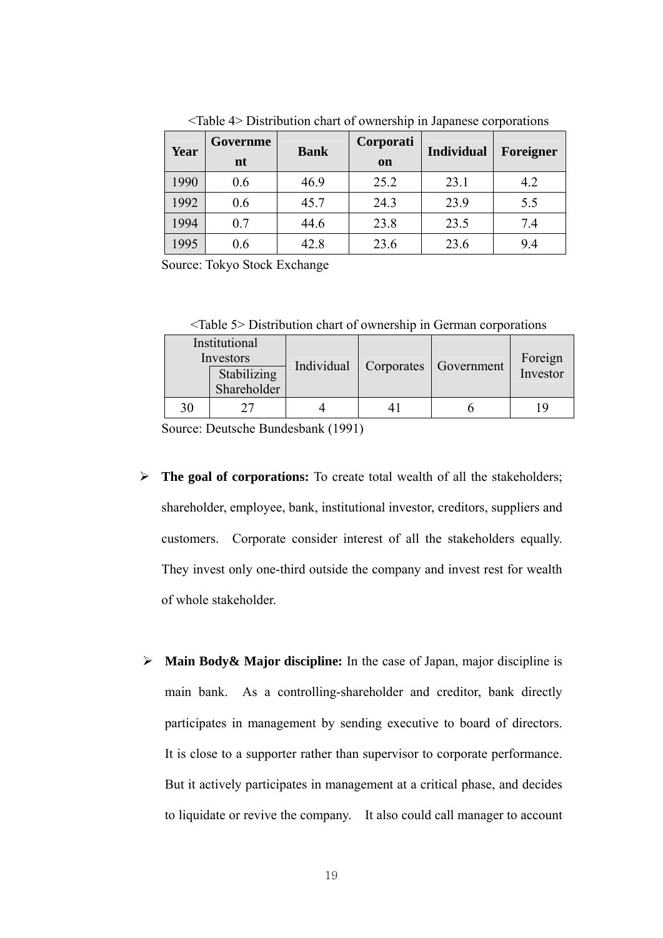| Year | Governme<br>nt | <b>Bank</b> | Corporati<br>on | <b>Individual</b> | Foreigner |
|------|----------------|-------------|-----------------|-------------------|-----------|
| 1990 | 0.6            | 46.9        | 25.2            | 23.1              | 4.2       |
| 1992 | 0.6            | 45.7        | 24.3            | 23.9              | 5.5       |
| 1994 | 0.7            | 44.6        | 23.8            | 23.5              | 7.4       |
| 1995 | 0.6            | 42.8        | 23.6            | 23.6              | 9.4       |

<Table 4> Distribution chart of ownership in Japanese corporations

Source: Tokyo Stock Exchange

<Table 5> Distribution chart of ownership in German corporations

| Institutional<br>Investors |                            |            |            | Government | Foreign  |  |
|----------------------------|----------------------------|------------|------------|------------|----------|--|
|                            | Stabilizing<br>Shareholder | Individual | Corporates |            | Investor |  |
| 30                         |                            |            |            |            |          |  |

Source: Deutsche Bundesbank (1991)

- ¾ **The goal of corporations:** To create total wealth of all the stakeholders; shareholder, employee, bank, institutional investor, creditors, suppliers and customers. Corporate consider interest of all the stakeholders equally. They invest only one-third outside the company and invest rest for wealth of whole stakeholder.
- ¾ **Main Body& Major discipline:** In the case of Japan, major discipline is main bank. As a controlling-shareholder and creditor, bank directly participates in management by sending executive to board of directors. It is close to a supporter rather than supervisor to corporate performance. But it actively participates in management at a critical phase, and decides to liquidate or revive the company. It also could call manager to account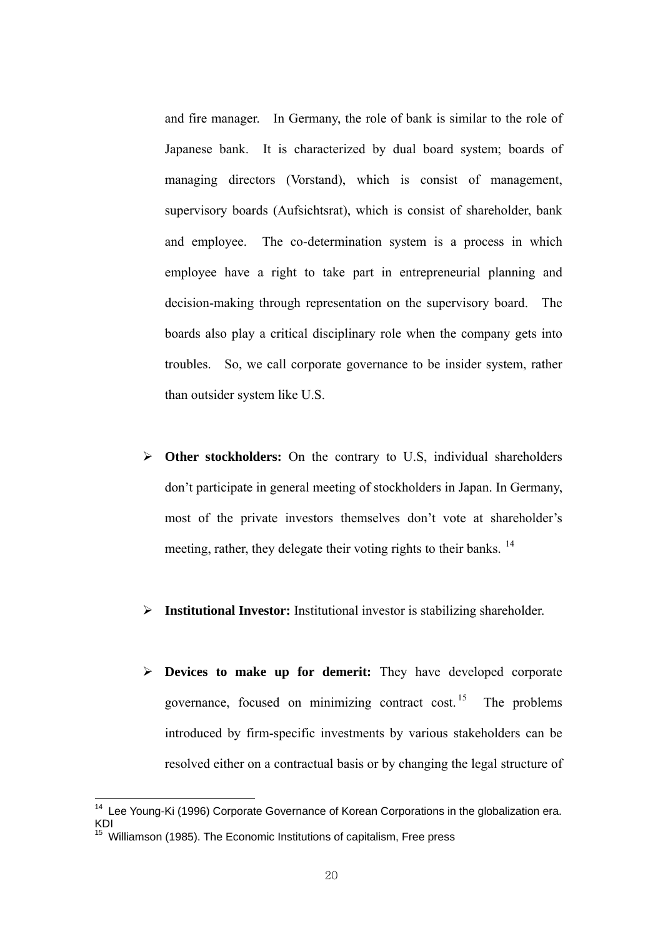and fire manager. In Germany, the role of bank is similar to the role of Japanese bank. It is characterized by dual board system; boards of managing directors (Vorstand), which is consist of management, supervisory boards (Aufsichtsrat), which is consist of shareholder, bank and employee. The co-determination system is a process in which employee have a right to take part in entrepreneurial planning and decision-making through representation on the supervisory board. The boards also play a critical disciplinary role when the company gets into troubles. So, we call corporate governance to be insider system, rather than outsider system like U.S.

- ¾ **Other stockholders:** On the contrary to U.S, individual shareholders don't participate in general meeting of stockholders in Japan. In Germany, most of the private investors themselves don't vote at shareholder's meeting, rather, they delegate their voting rights to their banks. <sup>14</sup>
- ¾ **Institutional Investor:** Institutional investor is stabilizing shareholder.
- ¾ **Devices to make up for demerit:** They have developed corporate governance, focused on minimizing contract cost. <sup>15</sup> The problems introduced by firm-specific investments by various stakeholders can be resolved either on a contractual basis or by changing the legal structure of

 $14$  Lee Young-Ki (1996) Corporate Governance of Korean Corporations in the globalization era. KDI

<sup>&</sup>lt;sup>15</sup> Williamson (1985). The Economic Institutions of capitalism. Free press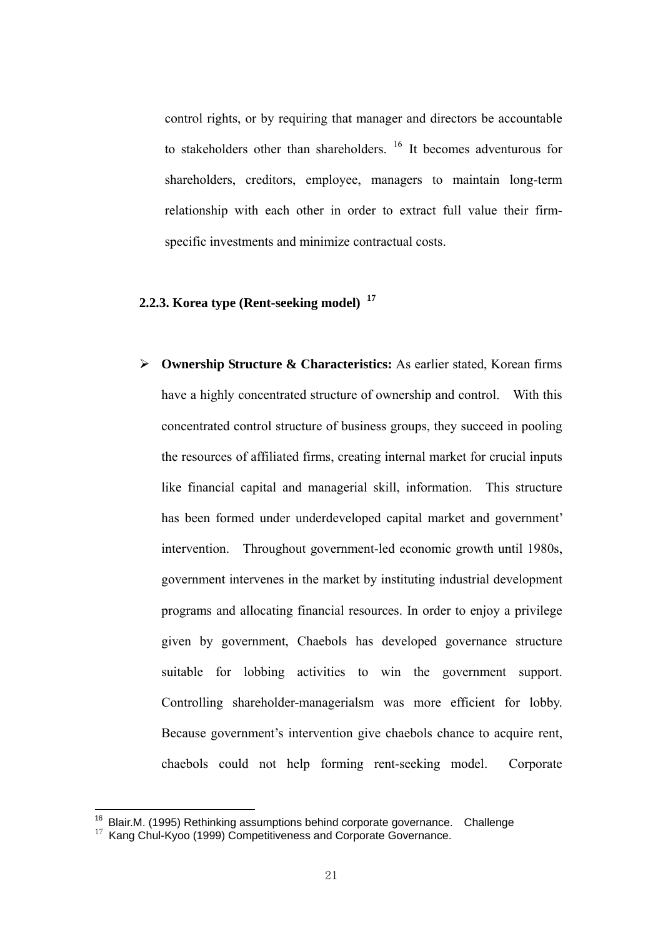control rights, or by requiring that manager and directors be accountable to stakeholders other than shareholders.  $16$  It becomes adventurous for shareholders, creditors, employee, managers to maintain long-term relationship with each other in order to extract full value their firmspecific investments and minimize contractual costs.

## **2.2.3. Korea type (Rent-seeking model) <sup>17</sup>**

¾ **Ownership Structure & Characteristics:** As earlier stated, Korean firms have a highly concentrated structure of ownership and control. With this concentrated control structure of business groups, they succeed in pooling the resources of affiliated firms, creating internal market for crucial inputs like financial capital and managerial skill, information. This structure has been formed under underdeveloped capital market and government' intervention. Throughout government-led economic growth until 1980s, government intervenes in the market by instituting industrial development programs and allocating financial resources. In order to enjoy a privilege given by government, Chaebols has developed governance structure suitable for lobbing activities to win the government support. Controlling shareholder-managerialsm was more efficient for lobby. Because government's intervention give chaebols chance to acquire rent, chaebols could not help forming rent-seeking model. Corporate

 $16$  Blair.M. (1995) Rethinking assumptions behind corporate governance. Challenge

 $17$  Kang Chul-Kvoo (1999) Competitiveness and Corporate Governance.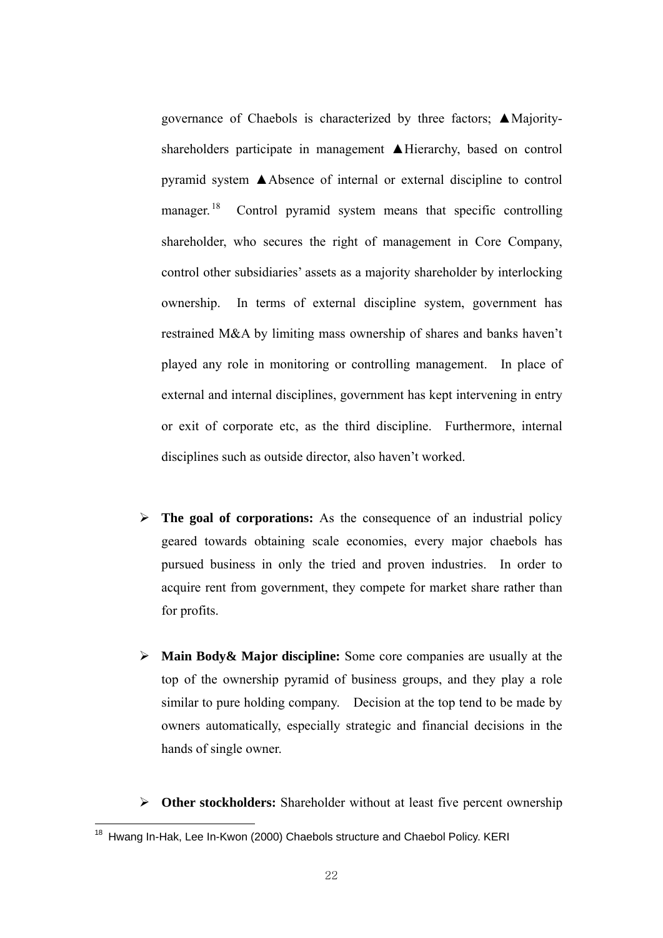governance of Chaebols is characterized by three factors; ▲Majorityshareholders participate in management **▲Hierarchy**, based on control pyramid system ▲Absence of internal or external discipline to control manager.<sup>18</sup> Control pyramid system means that specific controlling shareholder, who secures the right of management in Core Company, control other subsidiaries' assets as a majority shareholder by interlocking ownership. In terms of external discipline system, government has restrained M&A by limiting mass ownership of shares and banks haven't played any role in monitoring or controlling management. In place of external and internal disciplines, government has kept intervening in entry or exit of corporate etc, as the third discipline. Furthermore, internal disciplines such as outside director, also haven't worked.

- $\triangleright$  **The goal of corporations:** As the consequence of an industrial policy geared towards obtaining scale economies, every major chaebols has pursued business in only the tried and proven industries. In order to acquire rent from government, they compete for market share rather than for profits.
- ¾ **Main Body& Major discipline:** Some core companies are usually at the top of the ownership pyramid of business groups, and they play a role similar to pure holding company. Decision at the top tend to be made by owners automatically, especially strategic and financial decisions in the hands of single owner.
- ¾ **Other stockholders:** Shareholder without at least five percent ownership

<u>.</u>

<sup>&</sup>lt;sup>18</sup> Hwang In-Hak, Lee In-Kwon (2000) Chaebols structure and Chaebol Policy. KERI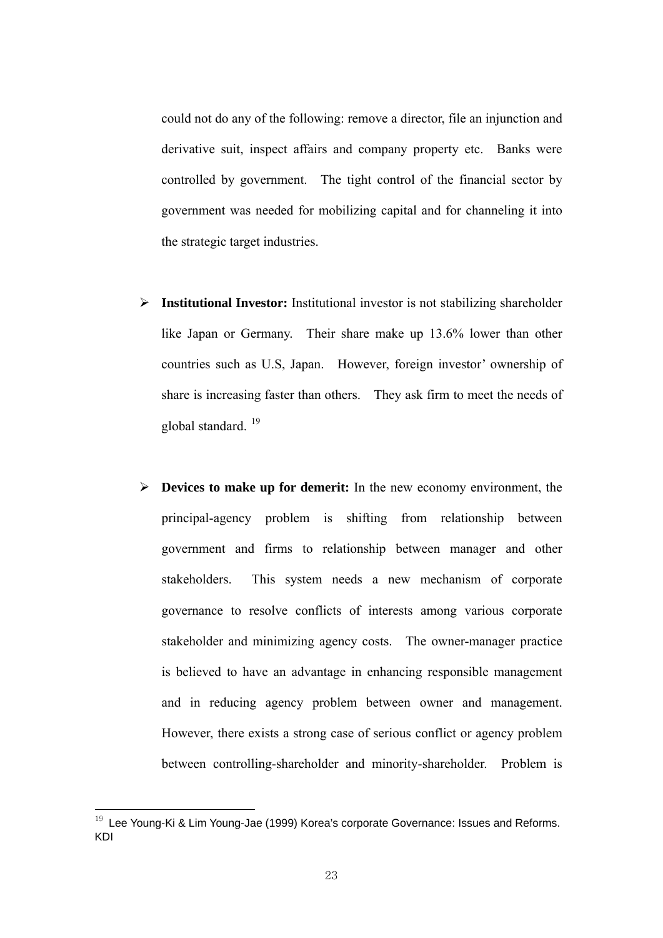could not do any of the following: remove a director, file an injunction and derivative suit, inspect affairs and company property etc. Banks were controlled by government. The tight control of the financial sector by government was needed for mobilizing capital and for channeling it into the strategic target industries.

- ¾ **Institutional Investor:** Institutional investor is not stabilizing shareholder like Japan or Germany. Their share make up 13.6% lower than other countries such as U.S, Japan. However, foreign investor' ownership of share is increasing faster than others. They ask firm to meet the needs of global standard. 19
- ¾ **Devices to make up for demerit:** In the new economy environment, the principal-agency problem is shifting from relationship between government and firms to relationship between manager and other stakeholders. This system needs a new mechanism of corporate governance to resolve conflicts of interests among various corporate stakeholder and minimizing agency costs. The owner-manager practice is believed to have an advantage in enhancing responsible management and in reducing agency problem between owner and management. However, there exists a strong case of serious conflict or agency problem between controlling-shareholder and minority-shareholder. Problem is

 $19$  Lee Young-Ki & Lim Young-Jae (1999) Korea's corporate Governance: Issues and Reforms. KDI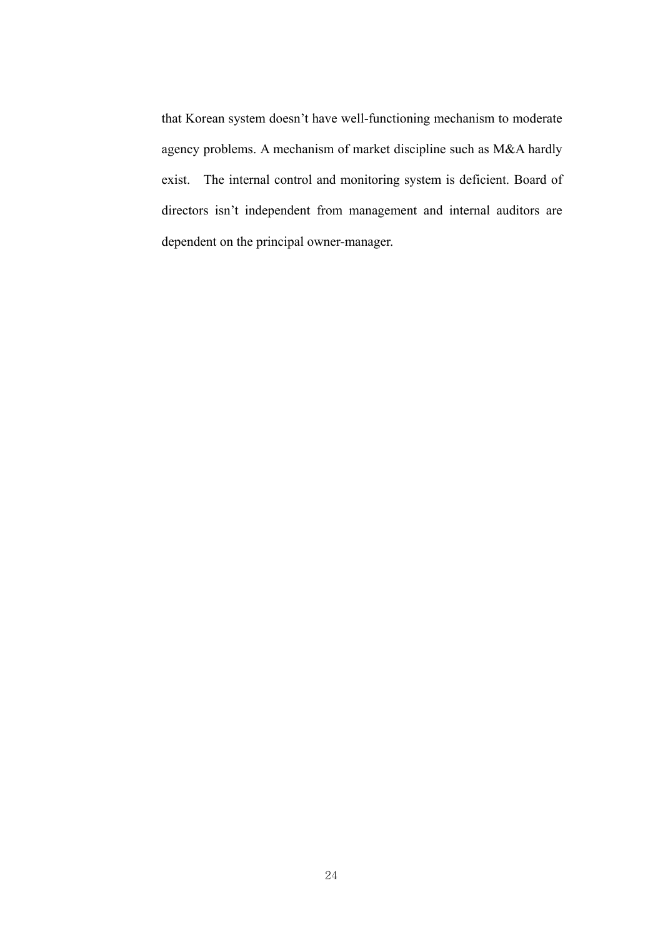that Korean system doesn't have well-functioning mechanism to moderate agency problems. A mechanism of market discipline such as M&A hardly exist. The internal control and monitoring system is deficient. Board of directors isn't independent from management and internal auditors are dependent on the principal owner-manager.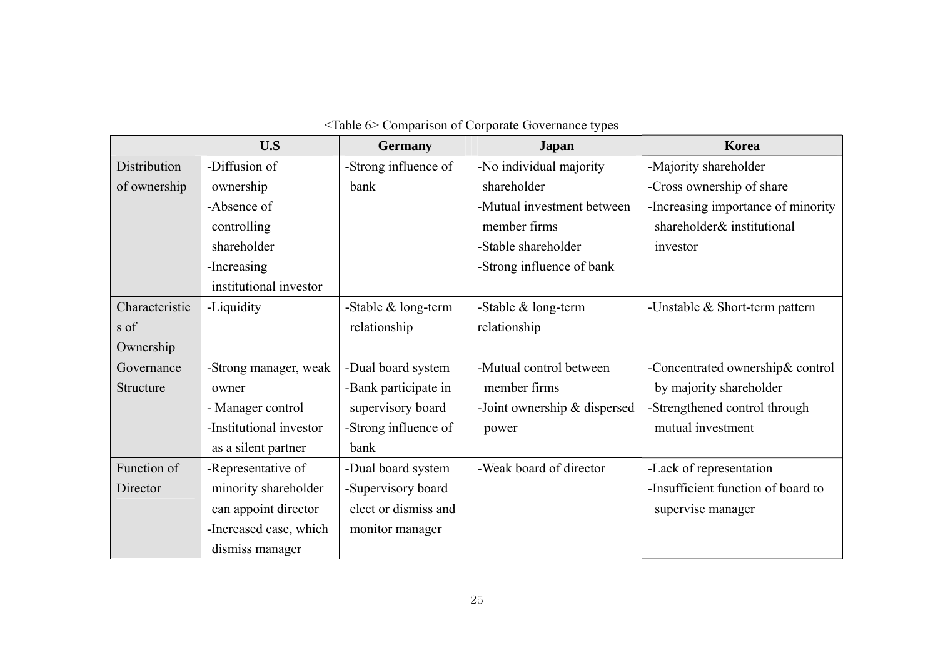|                | U.S                     | <b>Germany</b>       | <b>Japan</b>                   | Korea                              |
|----------------|-------------------------|----------------------|--------------------------------|------------------------------------|
| Distribution   | -Diffusion of           | -Strong influence of | -No individual majority        | -Majority shareholder              |
| of ownership   | ownership               | bank                 | shareholder                    | -Cross ownership of share          |
|                | -Absence of             |                      | -Mutual investment between     | -Increasing importance of minority |
|                | controlling             |                      | member firms                   | shareholder& institutional         |
|                | shareholder             |                      | -Stable shareholder            | investor                           |
|                | -Increasing             |                      | -Strong influence of bank      |                                    |
|                | institutional investor  |                      |                                |                                    |
| Characteristic | -Liquidity              | -Stable & long-term  | -Stable & long-term            | -Unstable $& Short-term pattern$   |
| s of           |                         | relationship         | relationship                   |                                    |
| Ownership      |                         |                      |                                |                                    |
| Governance     | -Strong manager, weak   | -Dual board system   | -Mutual control between        | -Concentrated ownership& control   |
| Structure      | owner                   | -Bank participate in | member firms                   | by majority shareholder            |
|                | - Manager control       | supervisory board    | -Joint ownership $&$ dispersed | -Strengthened control through      |
|                | -Institutional investor | -Strong influence of | power                          | mutual investment                  |
|                | as a silent partner     | bank                 |                                |                                    |
| Function of    | -Representative of      | -Dual board system   | -Weak board of director        | -Lack of representation            |
| Director       | minority shareholder    | -Supervisory board   |                                | -Insufficient function of board to |
|                | can appoint director    | elect or dismiss and |                                | supervise manager                  |
|                | -Increased case, which  | monitor manager      |                                |                                    |
|                | dismiss manager         |                      |                                |                                    |

## <Table 6> Comparison of Corporate Governance types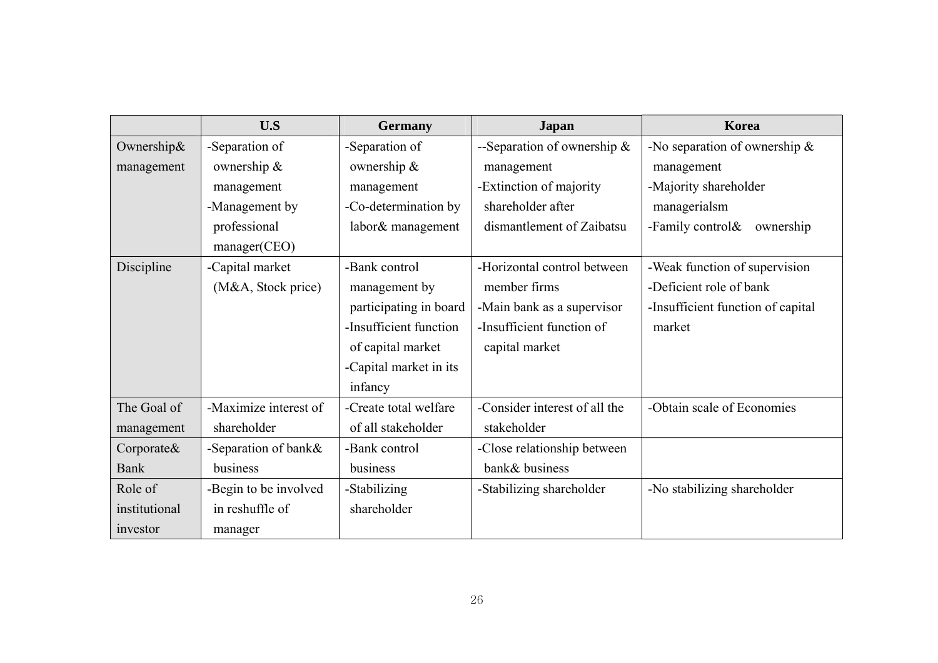|               | U.S                   | <b>Germany</b>         | <b>Japan</b>                   | Korea                             |
|---------------|-----------------------|------------------------|--------------------------------|-----------------------------------|
| Ownership&    | -Separation of        | -Separation of         | --Separation of ownership $\&$ | -No separation of ownership $\&$  |
| management    | ownership &           | ownership &            | management                     | management                        |
|               | management            | management             | -Extinction of majority        | -Majority shareholder             |
|               | -Management by        | -Co-determination by   | shareholder after              | managerialsm                      |
|               | professional          | labor& management      | dismantlement of Zaibatsu      | -Family control $\&$<br>ownership |
|               | manager(CEO)          |                        |                                |                                   |
| Discipline    | -Capital market       | -Bank control          | -Horizontal control between    | -Weak function of supervision     |
|               | (M&A, Stock price)    | management by          | member firms                   | -Deficient role of bank           |
|               |                       | participating in board | -Main bank as a supervisor     | -Insufficient function of capital |
|               |                       | -Insufficient function | -Insufficient function of      | market                            |
|               |                       | of capital market      | capital market                 |                                   |
|               |                       | -Capital market in its |                                |                                   |
|               |                       | infancy                |                                |                                   |
| The Goal of   | -Maximize interest of | -Create total welfare  | -Consider interest of all the  | -Obtain scale of Economies        |
| management    | shareholder           | of all stakeholder     | stakeholder                    |                                   |
| Corporate&    | -Separation of bank&  | -Bank control          | -Close relationship between    |                                   |
| Bank          | business              | business               | bank& business                 |                                   |
| Role of       | -Begin to be involved | -Stabilizing           | -Stabilizing shareholder       | -No stabilizing shareholder       |
| institutional | in reshuffle of       | shareholder            |                                |                                   |
| investor      | manager               |                        |                                |                                   |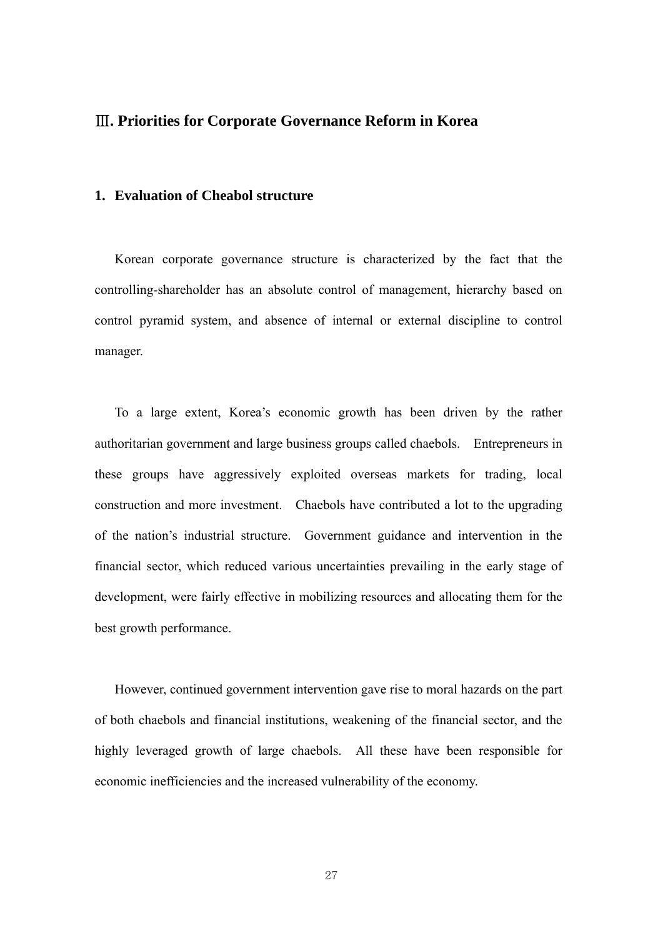## Ⅲ**. Priorities for Corporate Governance Reform in Korea**

## **1. Evaluation of Cheabol structure**

Korean corporate governance structure is characterized by the fact that the controlling-shareholder has an absolute control of management, hierarchy based on control pyramid system, and absence of internal or external discipline to control manager.

 To a large extent, Korea's economic growth has been driven by the rather authoritarian government and large business groups called chaebols. Entrepreneurs in these groups have aggressively exploited overseas markets for trading, local construction and more investment. Chaebols have contributed a lot to the upgrading of the nation's industrial structure. Government guidance and intervention in the financial sector, which reduced various uncertainties prevailing in the early stage of development, were fairly effective in mobilizing resources and allocating them for the best growth performance.

 However, continued government intervention gave rise to moral hazards on the part of both chaebols and financial institutions, weakening of the financial sector, and the highly leveraged growth of large chaebols. All these have been responsible for economic inefficiencies and the increased vulnerability of the economy.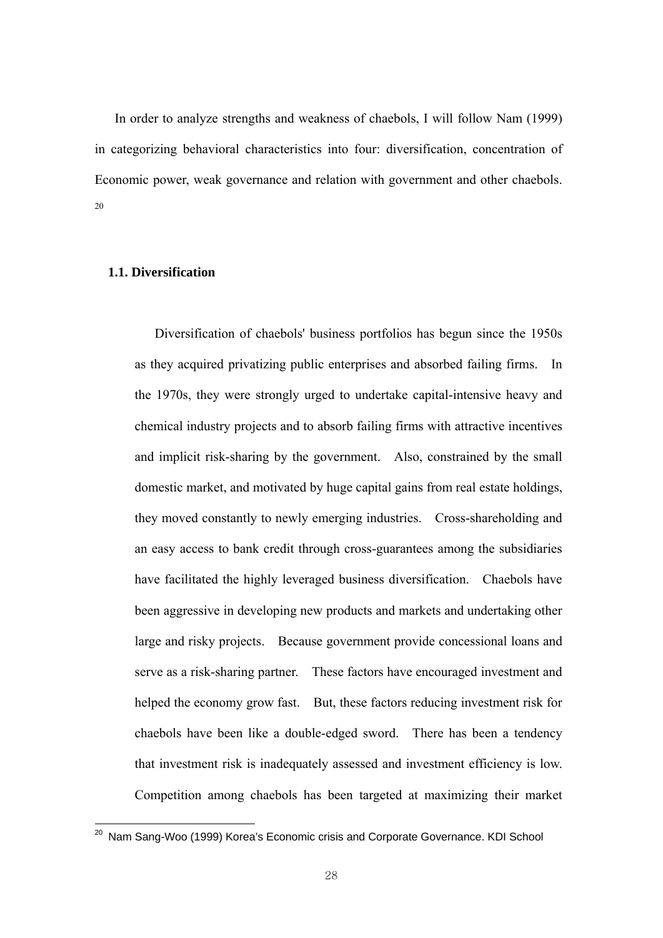In order to analyze strengths and weakness of chaebols, I will follow Nam (1999) in categorizing behavioral characteristics into four: diversification, concentration of Economic power, weak governance and relation with government and other chaebols. 20

## **1.1. Diversification**

<u>.</u>

Diversification of chaebols' business portfolios has begun since the 1950s as they acquired privatizing public enterprises and absorbed failing firms. In the 1970s, they were strongly urged to undertake capital-intensive heavy and chemical industry projects and to absorb failing firms with attractive incentives and implicit risk-sharing by the government. Also, constrained by the small domestic market, and motivated by huge capital gains from real estate holdings, they moved constantly to newly emerging industries. Cross-shareholding and an easy access to bank credit through cross-guarantees among the subsidiaries have facilitated the highly leveraged business diversification. Chaebols have been aggressive in developing new products and markets and undertaking other large and risky projects. Because government provide concessional loans and serve as a risk-sharing partner. These factors have encouraged investment and helped the economy grow fast. But, these factors reducing investment risk for chaebols have been like a double-edged sword. There has been a tendency that investment risk is inadequately assessed and investment efficiency is low. Competition among chaebols has been targeted at maximizing their market

 $^{20}$  Nam Sang-Woo (1999) Korea's Economic crisis and Corporate Governance. KDI School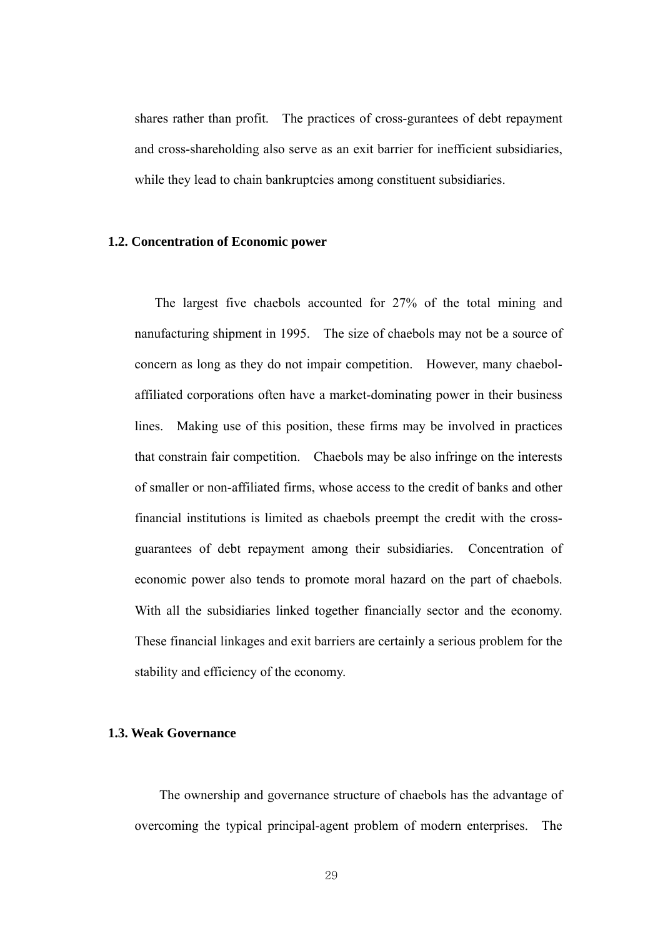shares rather than profit. The practices of cross-gurantees of debt repayment and cross-shareholding also serve as an exit barrier for inefficient subsidiaries, while they lead to chain bankruptcies among constituent subsidiaries.

#### **1.2. Concentration of Economic power**

The largest five chaebols accounted for 27% of the total mining and nanufacturing shipment in 1995. The size of chaebols may not be a source of concern as long as they do not impair competition. However, many chaebolaffiliated corporations often have a market-dominating power in their business lines. Making use of this position, these firms may be involved in practices that constrain fair competition. Chaebols may be also infringe on the interests of smaller or non-affiliated firms, whose access to the credit of banks and other financial institutions is limited as chaebols preempt the credit with the crossguarantees of debt repayment among their subsidiaries. Concentration of economic power also tends to promote moral hazard on the part of chaebols. With all the subsidiaries linked together financially sector and the economy. These financial linkages and exit barriers are certainly a serious problem for the stability and efficiency of the economy.

## **1.3. Weak Governance**

The ownership and governance structure of chaebols has the advantage of overcoming the typical principal-agent problem of modern enterprises. The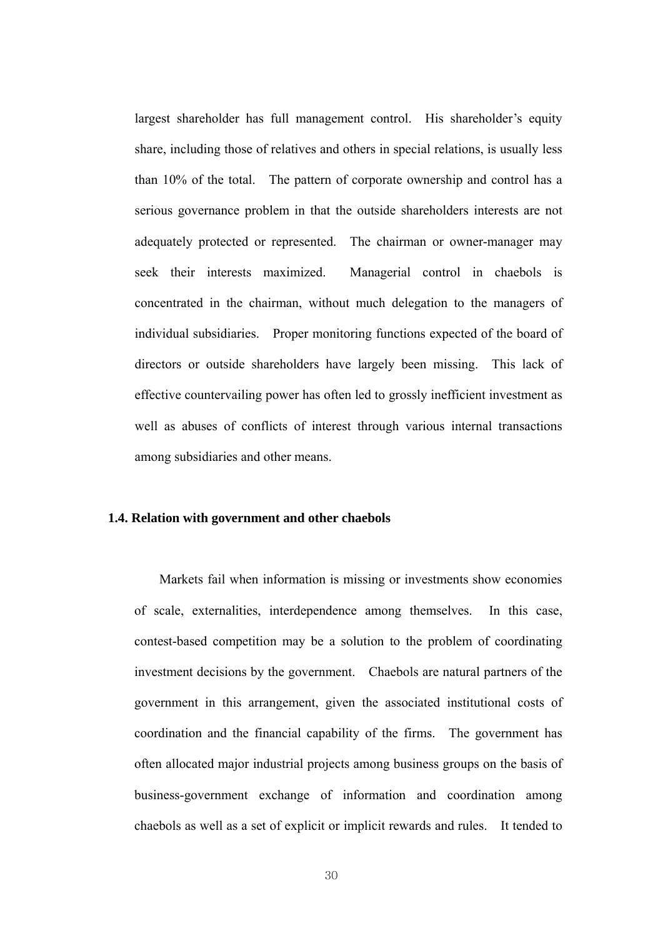largest shareholder has full management control. His shareholder's equity share, including those of relatives and others in special relations, is usually less than 10% of the total. The pattern of corporate ownership and control has a serious governance problem in that the outside shareholders interests are not adequately protected or represented. The chairman or owner-manager may seek their interests maximized. Managerial control in chaebols is concentrated in the chairman, without much delegation to the managers of individual subsidiaries. Proper monitoring functions expected of the board of directors or outside shareholders have largely been missing. This lack of effective countervailing power has often led to grossly inefficient investment as well as abuses of conflicts of interest through various internal transactions among subsidiaries and other means.

#### **1.4. Relation with government and other chaebols**

Markets fail when information is missing or investments show economies of scale, externalities, interdependence among themselves. In this case, contest-based competition may be a solution to the problem of coordinating investment decisions by the government. Chaebols are natural partners of the government in this arrangement, given the associated institutional costs of coordination and the financial capability of the firms. The government has often allocated major industrial projects among business groups on the basis of business-government exchange of information and coordination among chaebols as well as a set of explicit or implicit rewards and rules. It tended to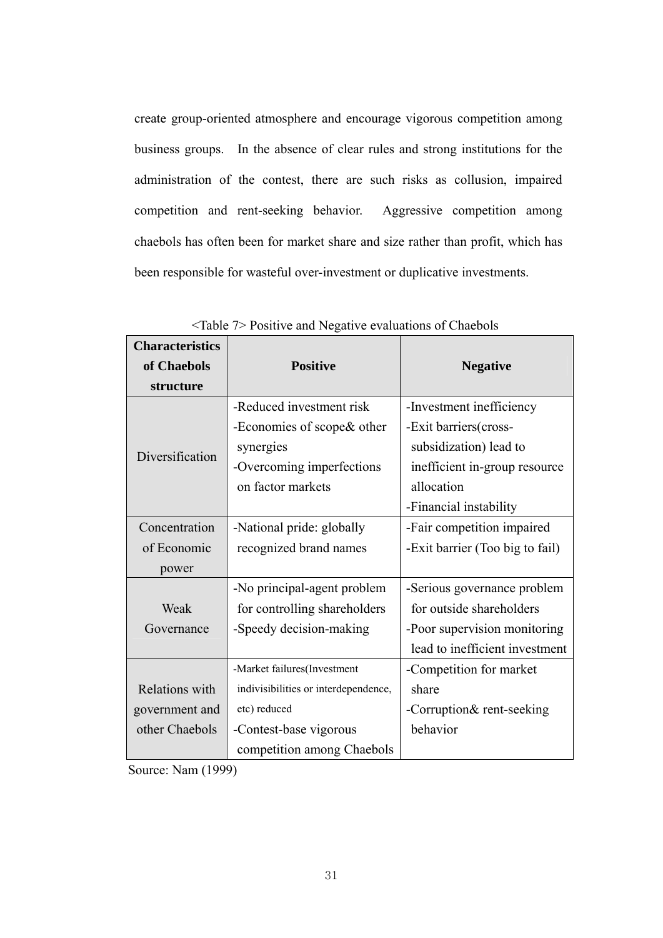create group-oriented atmosphere and encourage vigorous competition among business groups. In the absence of clear rules and strong institutions for the administration of the contest, there are such risks as collusion, impaired competition and rent-seeking behavior. Aggressive competition among chaebols has often been for market share and size rather than profit, which has been responsible for wasteful over-investment or duplicative investments.

| <b>Characteristics</b> |                                      |                                 |
|------------------------|--------------------------------------|---------------------------------|
| of Chaebols            | <b>Positive</b>                      | <b>Negative</b>                 |
| structure              |                                      |                                 |
|                        | -Reduced investment risk             | -Investment inefficiency        |
|                        | -Economies of scope & other          | -Exit barriers(cross-           |
| Diversification        | synergies                            | subsidization) lead to          |
|                        | -Overcoming imperfections            | inefficient in-group resource   |
|                        | on factor markets                    | allocation                      |
|                        |                                      | -Financial instability          |
| Concentration          | -National pride: globally            | -Fair competition impaired      |
| of Economic            | recognized brand names               | -Exit barrier (Too big to fail) |
| power                  |                                      |                                 |
|                        | -No principal-agent problem          | -Serious governance problem     |
| Weak                   | for controlling shareholders         | for outside shareholders        |
| Governance             | -Speedy decision-making              | -Poor supervision monitoring    |
|                        |                                      | lead to inefficient investment  |
|                        | -Market failures(Investment          | -Competition for market         |
| Relations with         | indivisibilities or interdependence, | share                           |
| government and         | etc) reduced                         | -Corruption& rent-seeking       |
| other Chaebols         | -Contest-base vigorous               | behavior                        |
|                        | competition among Chaebols           |                                 |

<Table 7> Positive and Negative evaluations of Chaebols

Source: Nam (1999)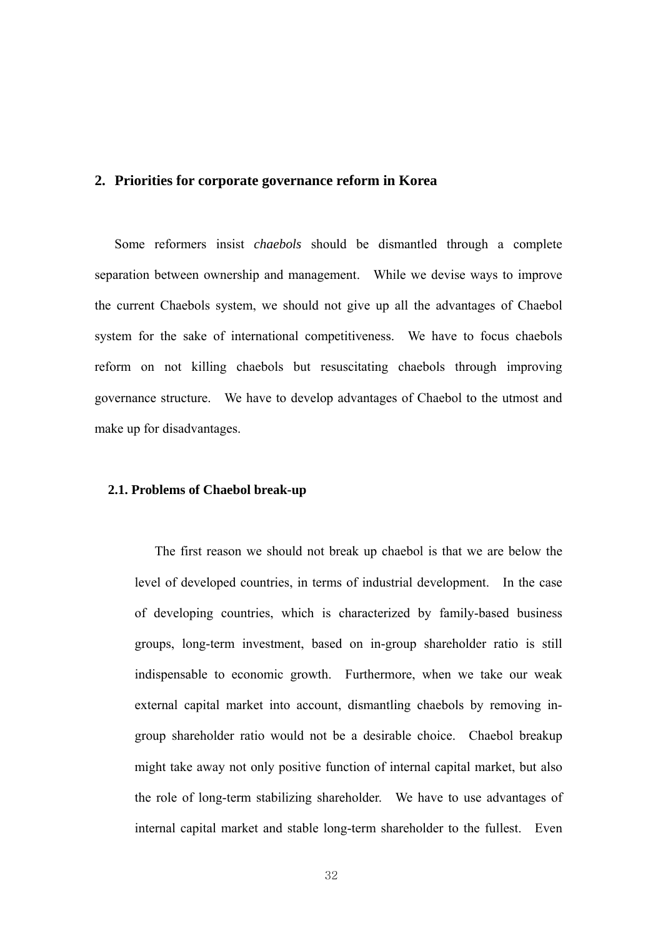## **2. Priorities for corporate governance reform in Korea**

Some reformers insist *chaebols* should be dismantled through a complete separation between ownership and management. While we devise ways to improve the current Chaebols system, we should not give up all the advantages of Chaebol system for the sake of international competitiveness. We have to focus chaebols reform on not killing chaebols but resuscitating chaebols through improving governance structure. We have to develop advantages of Chaebol to the utmost and make up for disadvantages.

#### **2.1. Problems of Chaebol break-up**

The first reason we should not break up chaebol is that we are below the level of developed countries, in terms of industrial development. In the case of developing countries, which is characterized by family-based business groups, long-term investment, based on in-group shareholder ratio is still indispensable to economic growth. Furthermore, when we take our weak external capital market into account, dismantling chaebols by removing ingroup shareholder ratio would not be a desirable choice. Chaebol breakup might take away not only positive function of internal capital market, but also the role of long-term stabilizing shareholder. We have to use advantages of internal capital market and stable long-term shareholder to the fullest. Even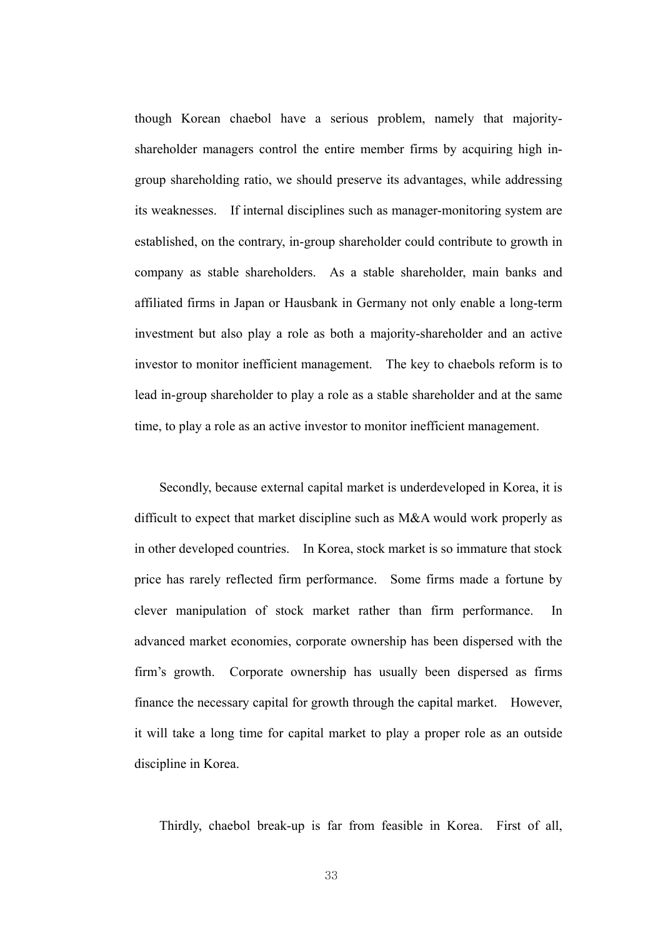though Korean chaebol have a serious problem, namely that majorityshareholder managers control the entire member firms by acquiring high ingroup shareholding ratio, we should preserve its advantages, while addressing its weaknesses. If internal disciplines such as manager-monitoring system are established, on the contrary, in-group shareholder could contribute to growth in company as stable shareholders. As a stable shareholder, main banks and affiliated firms in Japan or Hausbank in Germany not only enable a long-term investment but also play a role as both a majority-shareholder and an active investor to monitor inefficient management. The key to chaebols reform is to lead in-group shareholder to play a role as a stable shareholder and at the same time, to play a role as an active investor to monitor inefficient management.

Secondly, because external capital market is underdeveloped in Korea, it is difficult to expect that market discipline such as M&A would work properly as in other developed countries. In Korea, stock market is so immature that stock price has rarely reflected firm performance. Some firms made a fortune by clever manipulation of stock market rather than firm performance. In advanced market economies, corporate ownership has been dispersed with the firm's growth. Corporate ownership has usually been dispersed as firms finance the necessary capital for growth through the capital market. However, it will take a long time for capital market to play a proper role as an outside discipline in Korea.

Thirdly, chaebol break-up is far from feasible in Korea. First of all,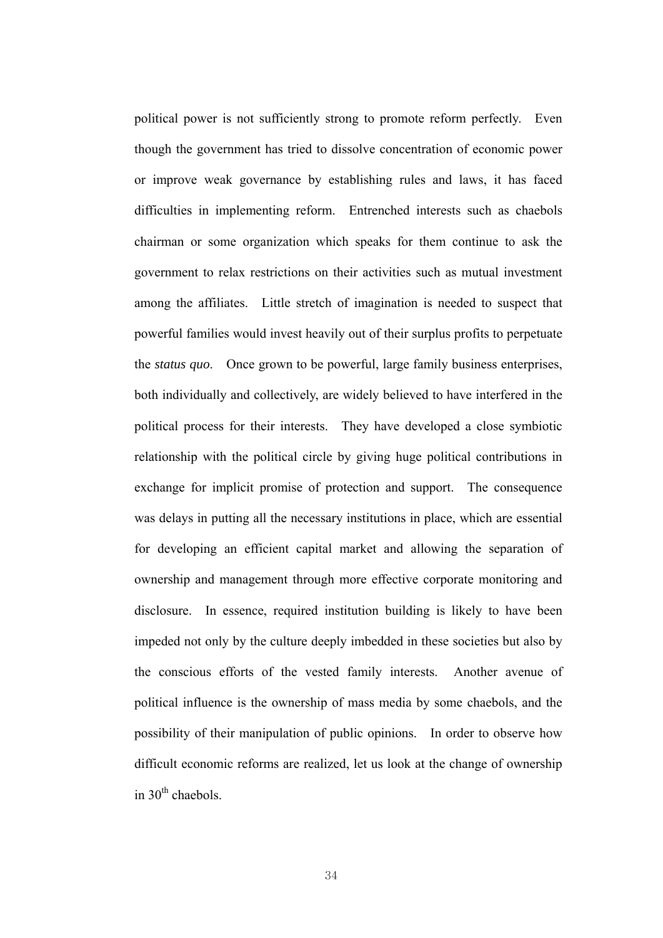political power is not sufficiently strong to promote reform perfectly. Even though the government has tried to dissolve concentration of economic power or improve weak governance by establishing rules and laws, it has faced difficulties in implementing reform. Entrenched interests such as chaebols chairman or some organization which speaks for them continue to ask the government to relax restrictions on their activities such as mutual investment among the affiliates. Little stretch of imagination is needed to suspect that powerful families would invest heavily out of their surplus profits to perpetuate the *status quo*. Once grown to be powerful, large family business enterprises, both individually and collectively, are widely believed to have interfered in the political process for their interests. They have developed a close symbiotic relationship with the political circle by giving huge political contributions in exchange for implicit promise of protection and support. The consequence was delays in putting all the necessary institutions in place, which are essential for developing an efficient capital market and allowing the separation of ownership and management through more effective corporate monitoring and disclosure. In essence, required institution building is likely to have been impeded not only by the culture deeply imbedded in these societies but also by the conscious efforts of the vested family interests. Another avenue of political influence is the ownership of mass media by some chaebols, and the possibility of their manipulation of public opinions. In order to observe how difficult economic reforms are realized, let us look at the change of ownership in  $30<sup>th</sup>$  chaebols.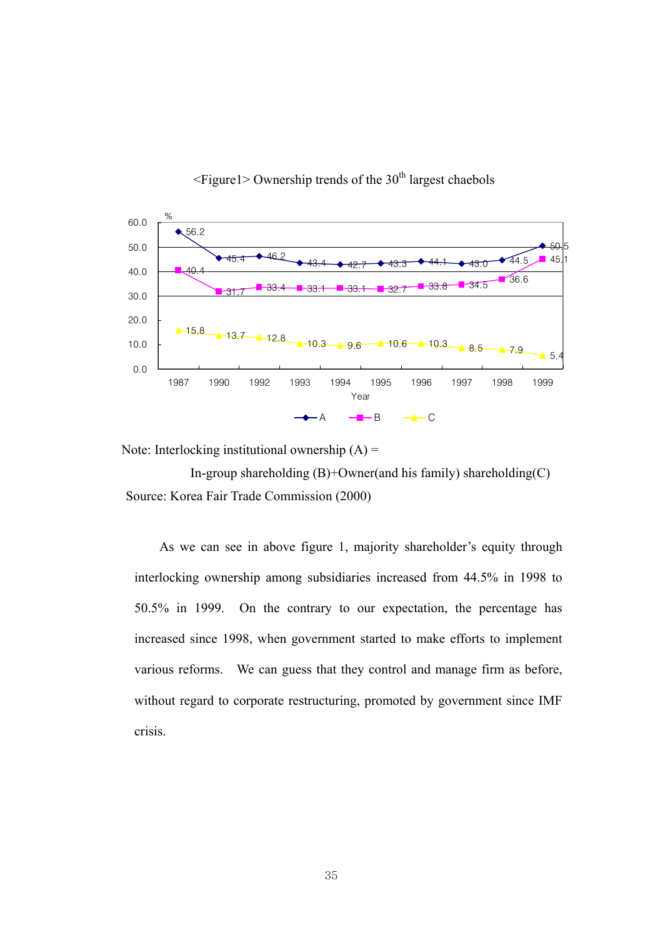

 $\leq$ Figure1> Ownership trends of the 30<sup>th</sup> largest chaebols

Note: Interlocking institutional ownership  $(A)$  =

In-group shareholding  $(B)$ +Owner(and his family) shareholding  $(C)$ Source: Korea Fair Trade Commission (2000)

As we can see in above figure 1, majority shareholder's equity through interlocking ownership among subsidiaries increased from 44.5% in 1998 to 50.5% in 1999. On the contrary to our expectation, the percentage has increased since 1998, when government started to make efforts to implement various reforms. We can guess that they control and manage firm as before, without regard to corporate restructuring, promoted by government since IMF crisis.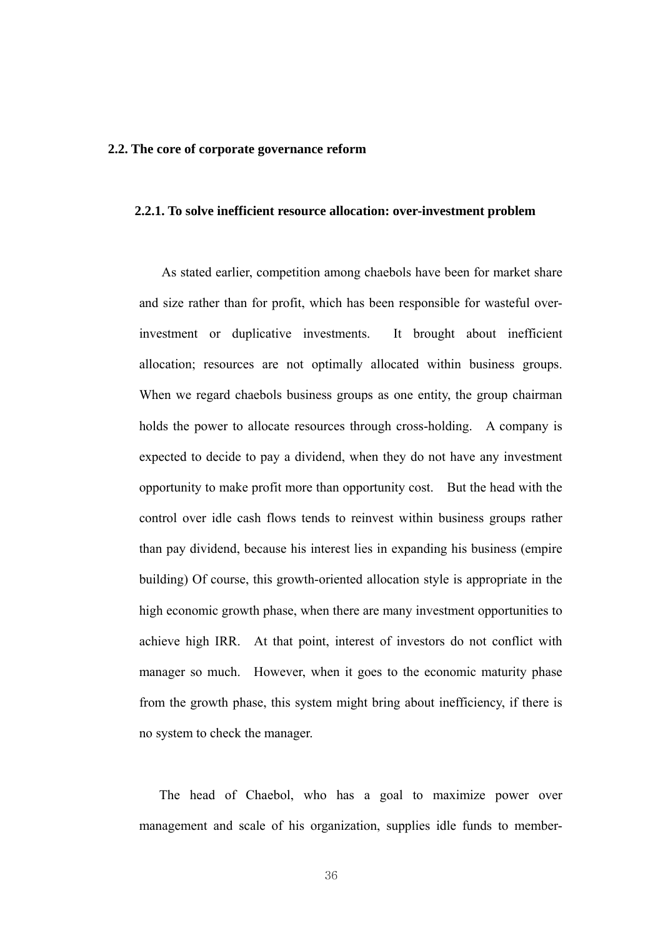#### **2.2. The core of corporate governance reform**

#### **2.2.1. To solve inefficient resource allocation: over-investment problem**

As stated earlier, competition among chaebols have been for market share and size rather than for profit, which has been responsible for wasteful overinvestment or duplicative investments. It brought about inefficient allocation; resources are not optimally allocated within business groups. When we regard chaebols business groups as one entity, the group chairman holds the power to allocate resources through cross-holding. A company is expected to decide to pay a dividend, when they do not have any investment opportunity to make profit more than opportunity cost. But the head with the control over idle cash flows tends to reinvest within business groups rather than pay dividend, because his interest lies in expanding his business (empire building) Of course, this growth-oriented allocation style is appropriate in the high economic growth phase, when there are many investment opportunities to achieve high IRR. At that point, interest of investors do not conflict with manager so much. However, when it goes to the economic maturity phase from the growth phase, this system might bring about inefficiency, if there is no system to check the manager.

 The head of Chaebol, who has a goal to maximize power over management and scale of his organization, supplies idle funds to member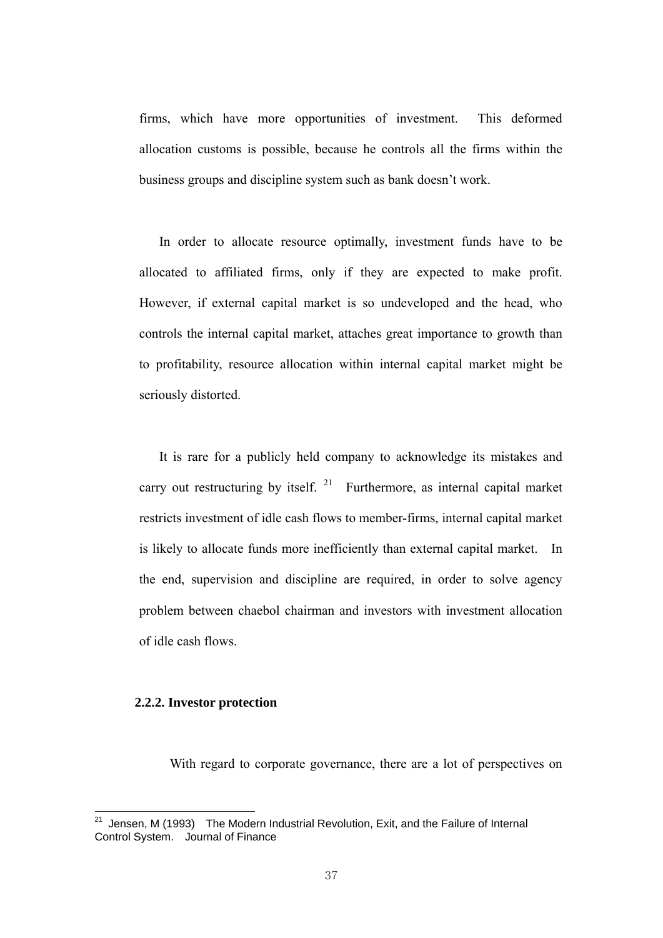firms, which have more opportunities of investment. This deformed allocation customs is possible, because he controls all the firms within the business groups and discipline system such as bank doesn't work.

 In order to allocate resource optimally, investment funds have to be allocated to affiliated firms, only if they are expected to make profit. However, if external capital market is so undeveloped and the head, who controls the internal capital market, attaches great importance to growth than to profitability, resource allocation within internal capital market might be seriously distorted.

 It is rare for a publicly held company to acknowledge its mistakes and carry out restructuring by itself.  $21$  Furthermore, as internal capital market restricts investment of idle cash flows to member-firms, internal capital market is likely to allocate funds more inefficiently than external capital market. In the end, supervision and discipline are required, in order to solve agency problem between chaebol chairman and investors with investment allocation of idle cash flows.

## **2.2.2. Investor protection**

With regard to corporate governance, there are a lot of perspectives on

 $21$ 21 Jensen, M (1993) The Modern Industrial Revolution, Exit, and the Failure of Internal Control System. Journal of Finance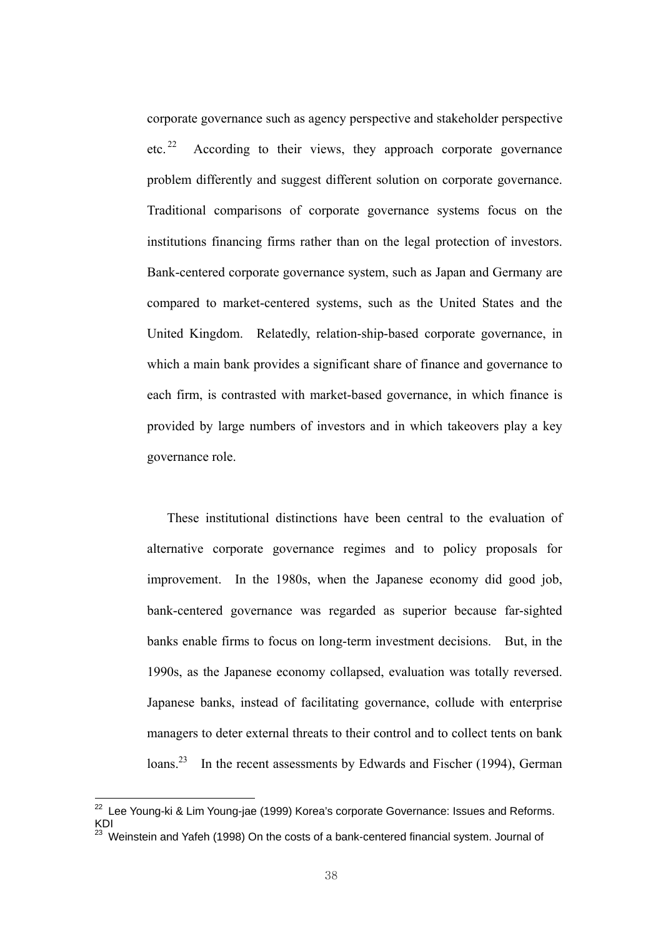corporate governance such as agency perspective and stakeholder perspective etc. <sup>22</sup> According to their views, they approach corporate governance problem differently and suggest different solution on corporate governance. Traditional comparisons of corporate governance systems focus on the institutions financing firms rather than on the legal protection of investors. Bank-centered corporate governance system, such as Japan and Germany are compared to market-centered systems, such as the United States and the United Kingdom. Relatedly, relation-ship-based corporate governance, in which a main bank provides a significant share of finance and governance to each firm, is contrasted with market-based governance, in which finance is provided by large numbers of investors and in which takeovers play a key governance role.

 These institutional distinctions have been central to the evaluation of alternative corporate governance regimes and to policy proposals for improvement. In the 1980s, when the Japanese economy did good job, bank-centered governance was regarded as superior because far-sighted banks enable firms to focus on long-term investment decisions. But, in the 1990s, as the Japanese economy collapsed, evaluation was totally reversed. Japanese banks, instead of facilitating governance, collude with enterprise managers to deter external threats to their control and to collect tents on bank loans.<sup>23</sup> In the recent assessments by Edwards and Fischer (1994), German

 $22$  Lee Young-ki & Lim Young-jae (1999) Korea's corporate Governance: Issues and Reforms. KDI

 $23$  Weinstein and Yafeh (1998) On the costs of a bank-centered financial system. Journal of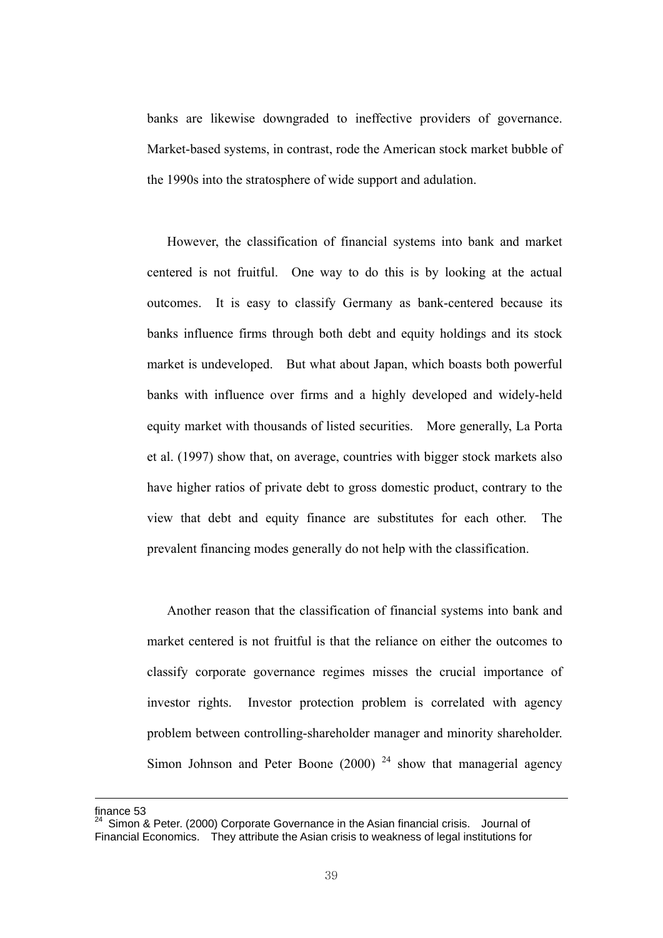banks are likewise downgraded to ineffective providers of governance. Market-based systems, in contrast, rode the American stock market bubble of the 1990s into the stratosphere of wide support and adulation.

 However, the classification of financial systems into bank and market centered is not fruitful. One way to do this is by looking at the actual outcomes. It is easy to classify Germany as bank-centered because its banks influence firms through both debt and equity holdings and its stock market is undeveloped. But what about Japan, which boasts both powerful banks with influence over firms and a highly developed and widely-held equity market with thousands of listed securities. More generally, La Porta et al. (1997) show that, on average, countries with bigger stock markets also have higher ratios of private debt to gross domestic product, contrary to the view that debt and equity finance are substitutes for each other. The prevalent financing modes generally do not help with the classification.

 Another reason that the classification of financial systems into bank and market centered is not fruitful is that the reliance on either the outcomes to classify corporate governance regimes misses the crucial importance of investor rights. Investor protection problem is correlated with agency problem between controlling-shareholder manager and minority shareholder. Simon Johnson and Peter Boone (2000)  $24$  show that managerial agency

finance 53

 $24$  Simon & Peter. (2000) Corporate Governance in the Asian financial crisis. Journal of Financial Economics. They attribute the Asian crisis to weakness of legal institutions for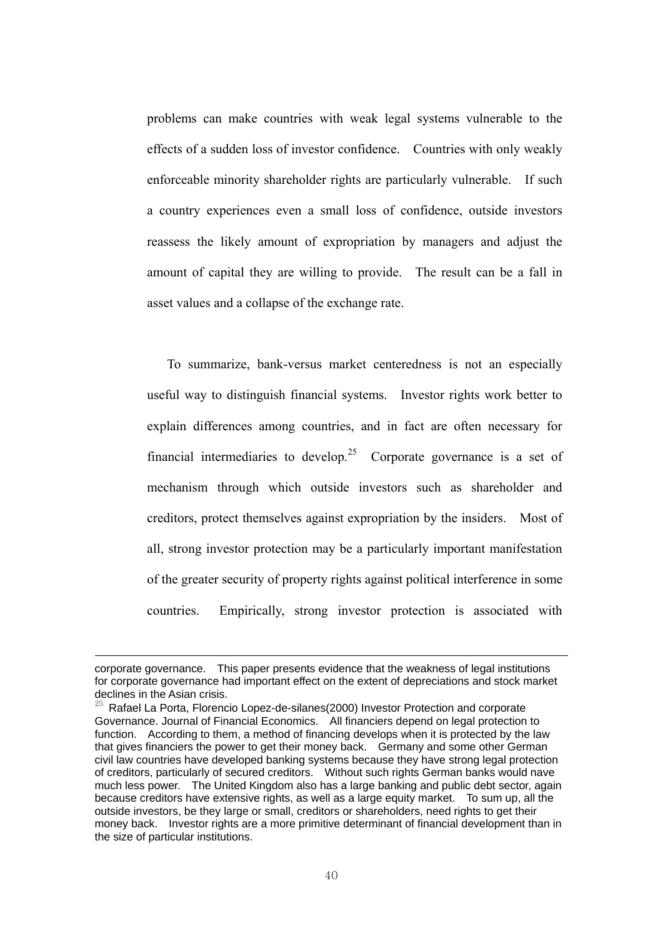problems can make countries with weak legal systems vulnerable to the effects of a sudden loss of investor confidence. Countries with only weakly enforceable minority shareholder rights are particularly vulnerable. If such a country experiences even a small loss of confidence, outside investors reassess the likely amount of expropriation by managers and adjust the amount of capital they are willing to provide. The result can be a fall in asset values and a collapse of the exchange rate.

 To summarize, bank-versus market centeredness is not an especially useful way to distinguish financial systems. Investor rights work better to explain differences among countries, and in fact are often necessary for financial intermediaries to develop.<sup>25</sup> Corporate governance is a set of mechanism through which outside investors such as shareholder and creditors, protect themselves against expropriation by the insiders. Most of all, strong investor protection may be a particularly important manifestation of the greater security of property rights against political interference in some countries. Empirically, strong investor protection is associated with

corporate governance. This paper presents evidence that the weakness of legal institutions for corporate governance had important effect on the extent of depreciations and stock market declines in the Asian crisis.

<sup>25</sup> Rafael La Porta, Florencio Lopez-de-silanes(2000) Investor Protection and corporate Governance. Journal of Financial Economics. All financiers depend on legal protection to function. According to them, a method of financing develops when it is protected by the law that gives financiers the power to get their money back. Germany and some other German civil law countries have developed banking systems because they have strong legal protection of creditors, particularly of secured creditors. Without such rights German banks would nave much less power. The United Kingdom also has a large banking and public debt sector, again because creditors have extensive rights, as well as a large equity market. To sum up, all the outside investors, be they large or small, creditors or shareholders, need rights to get their money back. Investor rights are a more primitive determinant of financial development than in the size of particular institutions.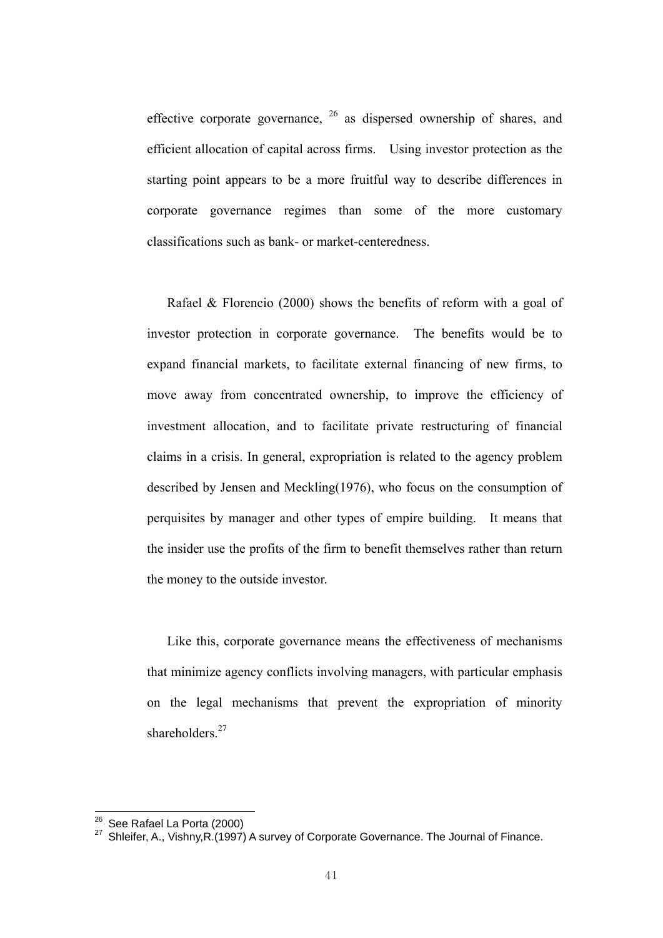effective corporate governance,  $26$  as dispersed ownership of shares, and efficient allocation of capital across firms. Using investor protection as the starting point appears to be a more fruitful way to describe differences in corporate governance regimes than some of the more customary classifications such as bank- or market-centeredness.

 Rafael & Florencio (2000) shows the benefits of reform with a goal of investor protection in corporate governance. The benefits would be to expand financial markets, to facilitate external financing of new firms, to move away from concentrated ownership, to improve the efficiency of investment allocation, and to facilitate private restructuring of financial claims in a crisis. In general, expropriation is related to the agency problem described by Jensen and Meckling(1976), who focus on the consumption of perquisites by manager and other types of empire building. It means that the insider use the profits of the firm to benefit themselves rather than return the money to the outside investor.

 Like this, corporate governance means the effectiveness of mechanisms that minimize agency conflicts involving managers, with particular emphasis on the legal mechanisms that prevent the expropriation of minority shareholders<sup>27</sup>

<sup>&</sup>lt;sup>26</sup> See Rafael La Porta (2000)<br><sup>27</sup> Shleifer, A., Vishny,R.(1997) A survey of Corporate Governance. The Journal of Finance.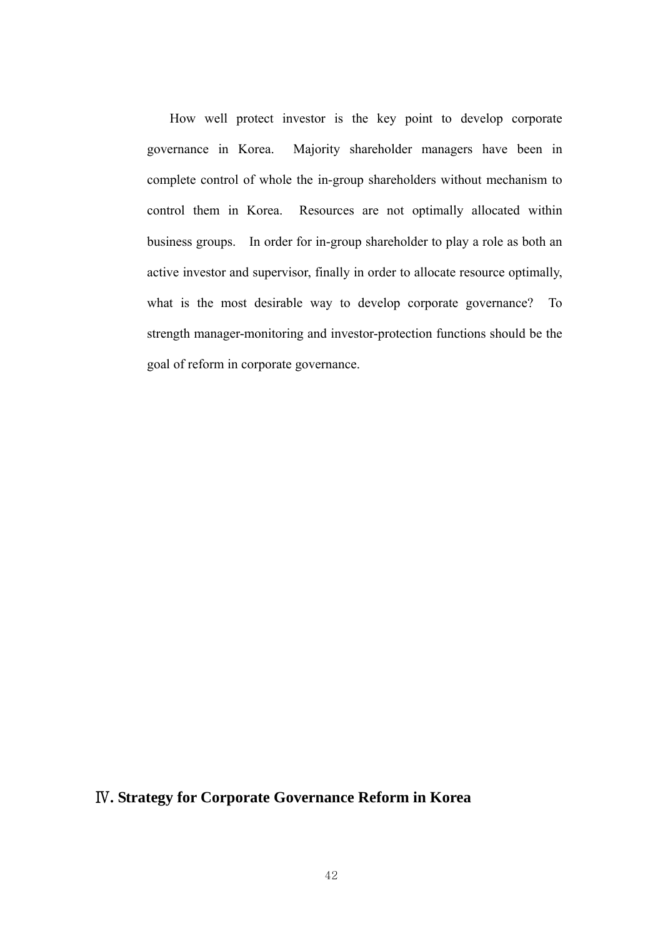How well protect investor is the key point to develop corporate governance in Korea. Majority shareholder managers have been in complete control of whole the in-group shareholders without mechanism to control them in Korea. Resources are not optimally allocated within business groups. In order for in-group shareholder to play a role as both an active investor and supervisor, finally in order to allocate resource optimally, what is the most desirable way to develop corporate governance? To strength manager-monitoring and investor-protection functions should be the goal of reform in corporate governance.

## Ⅳ**. Strategy for Corporate Governance Reform in Korea**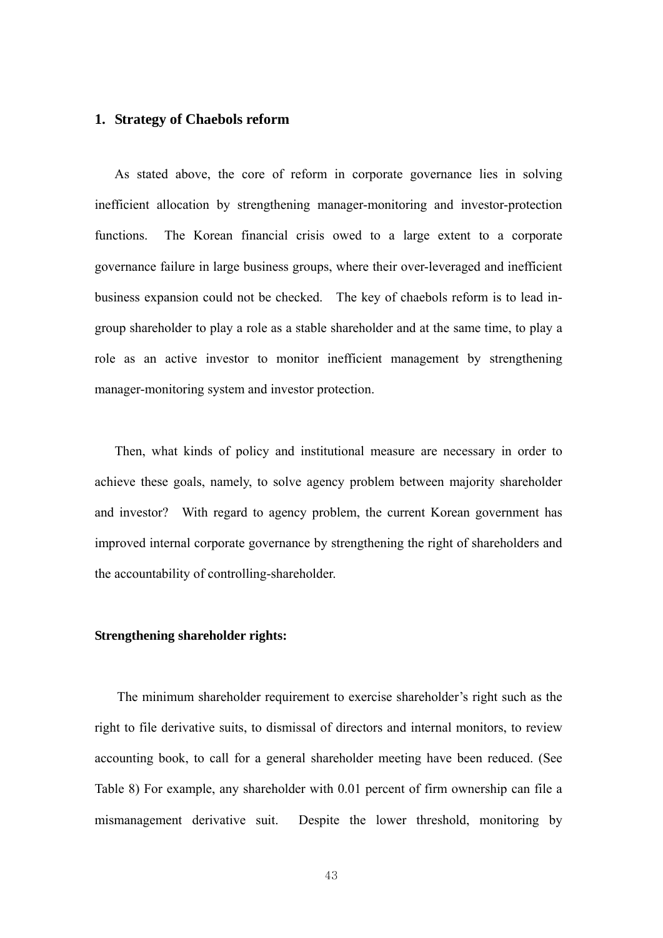## **1. Strategy of Chaebols reform**

As stated above, the core of reform in corporate governance lies in solving inefficient allocation by strengthening manager-monitoring and investor-protection functions. The Korean financial crisis owed to a large extent to a corporate governance failure in large business groups, where their over-leveraged and inefficient business expansion could not be checked. The key of chaebols reform is to lead ingroup shareholder to play a role as a stable shareholder and at the same time, to play a role as an active investor to monitor inefficient management by strengthening manager-monitoring system and investor protection.

Then, what kinds of policy and institutional measure are necessary in order to achieve these goals, namely, to solve agency problem between majority shareholder and investor? With regard to agency problem, the current Korean government has improved internal corporate governance by strengthening the right of shareholders and the accountability of controlling-shareholder.

#### **Strengthening shareholder rights:**

The minimum shareholder requirement to exercise shareholder's right such as the right to file derivative suits, to dismissal of directors and internal monitors, to review accounting book, to call for a general shareholder meeting have been reduced. (See Table 8) For example, any shareholder with 0.01 percent of firm ownership can file a mismanagement derivative suit. Despite the lower threshold, monitoring by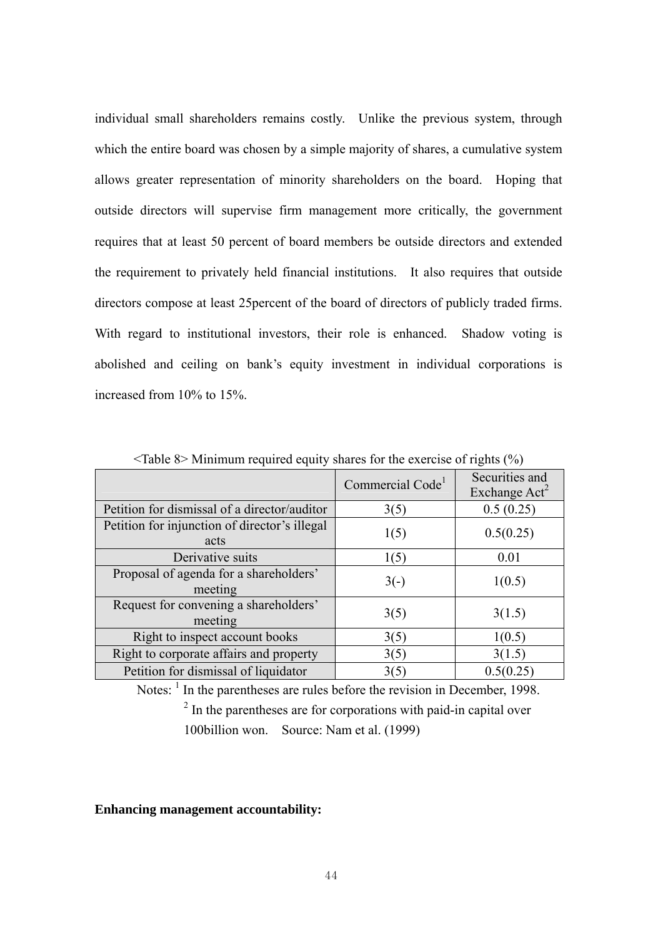individual small shareholders remains costly. Unlike the previous system, through which the entire board was chosen by a simple majority of shares, a cumulative system allows greater representation of minority shareholders on the board. Hoping that outside directors will supervise firm management more critically, the government requires that at least 50 percent of board members be outside directors and extended the requirement to privately held financial institutions. It also requires that outside directors compose at least 25percent of the board of directors of publicly traded firms. With regard to institutional investors, their role is enhanced. Shadow voting is abolished and ceiling on bank's equity investment in individual corporations is increased from 10% to 15%.

|                                                       | Commercial Code <sup>1</sup> | Securities and<br>Exchange Act <sup>2</sup> |
|-------------------------------------------------------|------------------------------|---------------------------------------------|
| Petition for dismissal of a director/auditor          | 3(5)                         | 0.5(0.25)                                   |
| Petition for injunction of director's illegal<br>acts | 1(5)                         | 0.5(0.25)                                   |
| Derivative suits                                      | 1(5)                         | 0.01                                        |
| Proposal of agenda for a shareholders'<br>meeting     | $3(-)$                       | 1(0.5)                                      |
| Request for convening a shareholders'<br>meeting      | 3(5)                         | 3(1.5)                                      |
| Right to inspect account books                        | 3(5)                         | 1(0.5)                                      |
| Right to corporate affairs and property               | 3(5)                         | 3(1.5)                                      |
| Petition for dismissal of liquidator                  | 3(5)                         | 0.5(0.25)                                   |

 $\langle$ Table 8> Minimum required equity shares for the exercise of rights (%)

Notes:  $<sup>1</sup>$  In the parentheses are rules before the revision in December, 1998.</sup> <sup>2</sup>  $2$  In the parentheses are for corporations with paid-in capital over 100billion won. Source: Nam et al. (1999)

### **Enhancing management accountability:**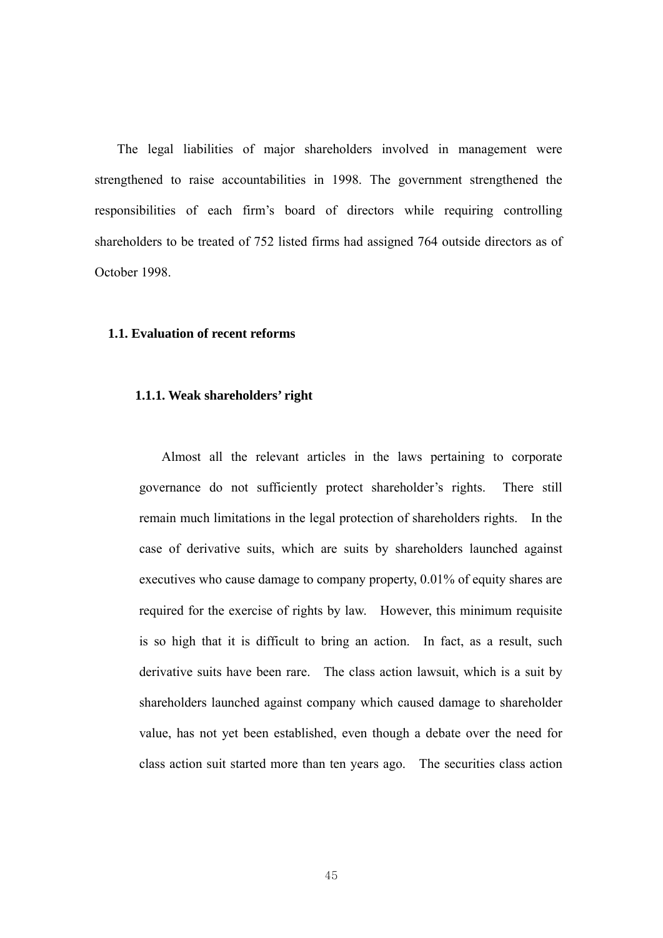The legal liabilities of major shareholders involved in management were strengthened to raise accountabilities in 1998. The government strengthened the responsibilities of each firm's board of directors while requiring controlling shareholders to be treated of 752 listed firms had assigned 764 outside directors as of October 1998.

#### **1.1. Evaluation of recent reforms**

## **1.1.1. Weak shareholders' right**

Almost all the relevant articles in the laws pertaining to corporate governance do not sufficiently protect shareholder's rights. There still remain much limitations in the legal protection of shareholders rights. In the case of derivative suits, which are suits by shareholders launched against executives who cause damage to company property, 0.01% of equity shares are required for the exercise of rights by law. However, this minimum requisite is so high that it is difficult to bring an action. In fact, as a result, such derivative suits have been rare. The class action lawsuit, which is a suit by shareholders launched against company which caused damage to shareholder value, has not yet been established, even though a debate over the need for class action suit started more than ten years ago. The securities class action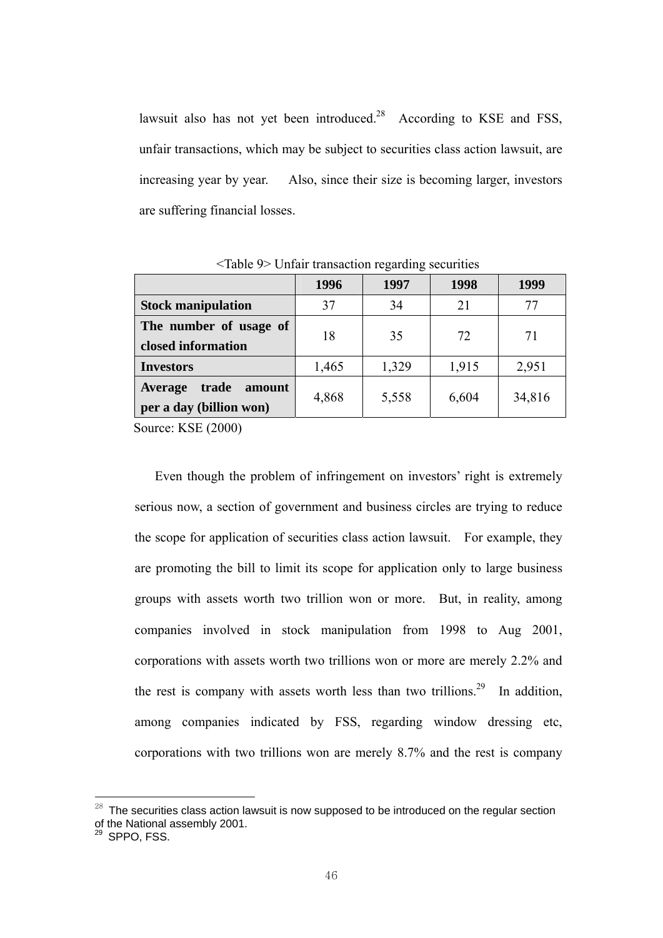lawsuit also has not yet been introduced.<sup>28</sup> According to KSE and FSS, unfair transactions, which may be subject to securities class action lawsuit, are increasing year by year. Also, since their size is becoming larger, investors are suffering financial losses.

|                                                       | 1996  | 1997  | 1998  | 1999   |
|-------------------------------------------------------|-------|-------|-------|--------|
| <b>Stock manipulation</b>                             | 37    | 34    | 21    | 77     |
| The number of usage of                                | 18    | 35    | 72    | 71     |
| closed information                                    |       |       |       |        |
| <b>Investors</b>                                      | 1,465 | 1,329 | 1,915 | 2,951  |
| trade<br>amount<br>Average<br>per a day (billion won) | 4,868 | 5,558 | 6,604 | 34,816 |

<Table 9> Unfair transaction regarding securities

Source: KSE (2000)

Even though the problem of infringement on investors' right is extremely serious now, a section of government and business circles are trying to reduce the scope for application of securities class action lawsuit. For example, they are promoting the bill to limit its scope for application only to large business groups with assets worth two trillion won or more. But, in reality, among companies involved in stock manipulation from 1998 to Aug 2001, corporations with assets worth two trillions won or more are merely 2.2% and the rest is company with assets worth less than two trillions.<sup>29</sup> In addition, among companies indicated by FSS, regarding window dressing etc, corporations with two trillions won are merely 8.7% and the rest is company

 $^{28}$  The securities class action lawsuit is now supposed to be introduced on the regular section of the National assembly 2001.

<sup>&</sup>lt;sup>29</sup> SPPO, FSS.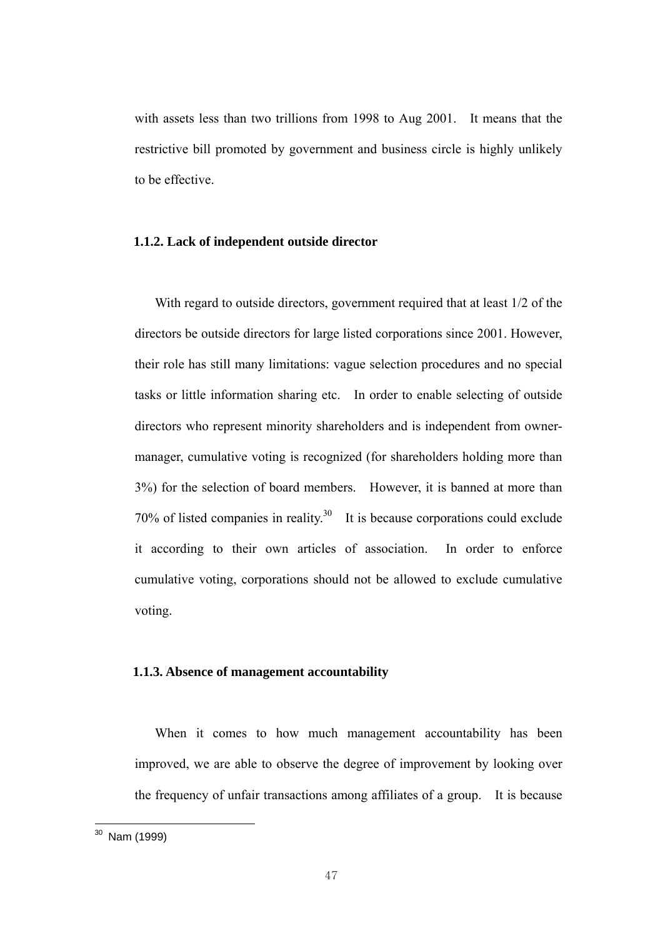with assets less than two trillions from 1998 to Aug 2001. It means that the restrictive bill promoted by government and business circle is highly unlikely to be effective.

#### **1.1.2. Lack of independent outside director**

With regard to outside directors, government required that at least 1/2 of the directors be outside directors for large listed corporations since 2001. However, their role has still many limitations: vague selection procedures and no special tasks or little information sharing etc. In order to enable selecting of outside directors who represent minority shareholders and is independent from ownermanager, cumulative voting is recognized (for shareholders holding more than 3%) for the selection of board members. However, it is banned at more than  $70\%$  of listed companies in reality.<sup>30</sup> It is because corporations could exclude it according to their own articles of association. In order to enforce cumulative voting, corporations should not be allowed to exclude cumulative voting.

#### **1.1.3. Absence of management accountability**

When it comes to how much management accountability has been improved, we are able to observe the degree of improvement by looking over the frequency of unfair transactions among affiliates of a group. It is because

<u>.</u>

<sup>&</sup>lt;sup>30</sup> Nam (1999)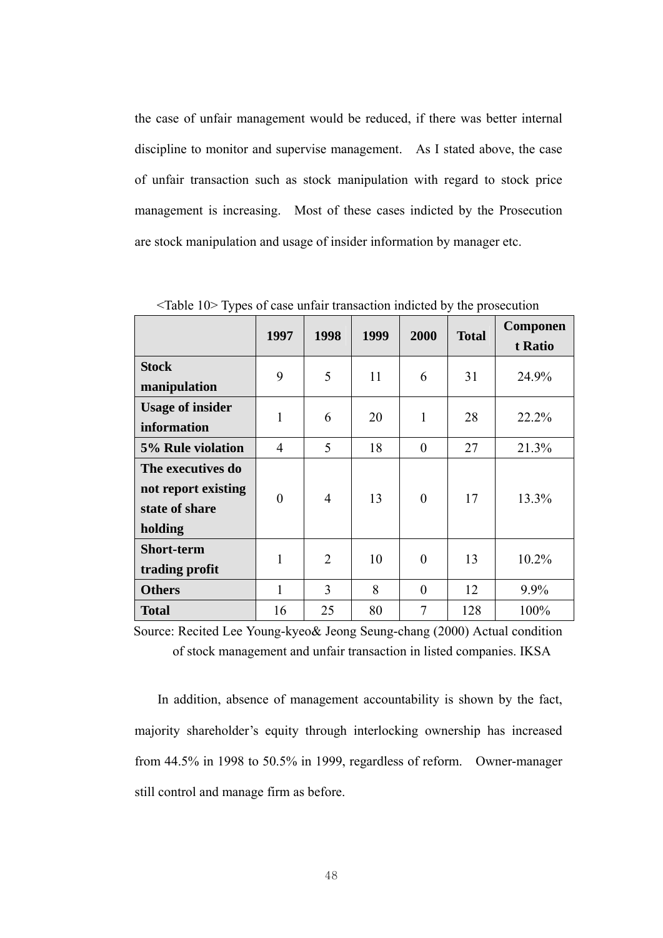the case of unfair management would be reduced, if there was better internal discipline to monitor and supervise management. As I stated above, the case of unfair transaction such as stock manipulation with regard to stock price management is increasing. Most of these cases indicted by the Prosecution are stock manipulation and usage of insider information by manager etc.

|                                                                       | 1997           | 1998           | 1999 | 2000     | <b>Total</b> | <b>Componen</b><br>t Ratio |
|-----------------------------------------------------------------------|----------------|----------------|------|----------|--------------|----------------------------|
| <b>Stock</b><br>manipulation                                          | 9              | 5              | 11   | 6        | 31           | 24.9%                      |
| <b>Usage of insider</b><br>information                                | 1              | 6              | 20   | 1        | 28           | 22.2%                      |
| 5% Rule violation                                                     | $\overline{4}$ | 5              | 18   | $\theta$ | 27           | 21.3%                      |
| The executives do<br>not report existing<br>state of share<br>holding | $\theta$       | $\overline{4}$ | 13   | $\theta$ | 17           | 13.3%                      |
| <b>Short-term</b><br>trading profit                                   | 1              | $\overline{2}$ | 10   | $\theta$ | 13           | 10.2%                      |
| <b>Others</b>                                                         | 1              | 3              | 8    | $\theta$ | 12           | $9.9\%$                    |
| <b>Total</b>                                                          | 16             | 25             | 80   | 7        | 128          | 100%                       |

<Table 10> Types of case unfair transaction indicted by the prosecution

Source: Recited Lee Young-kyeo& Jeong Seung-chang (2000) Actual condition of stock management and unfair transaction in listed companies. IKSA

In addition, absence of management accountability is shown by the fact, majority shareholder's equity through interlocking ownership has increased from 44.5% in 1998 to 50.5% in 1999, regardless of reform. Owner-manager still control and manage firm as before.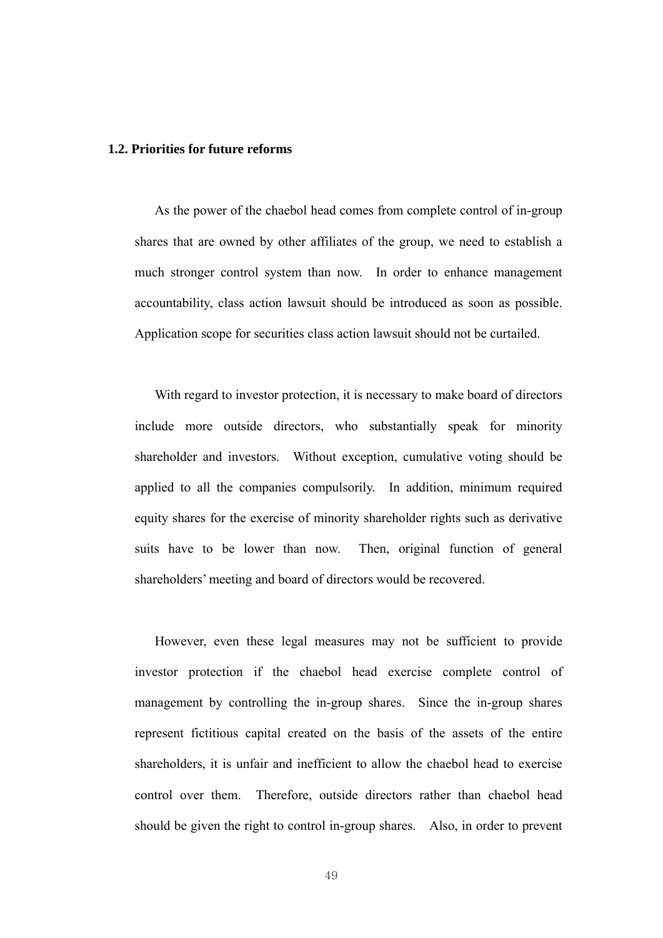#### **1.2. Priorities for future reforms**

As the power of the chaebol head comes from complete control of in-group shares that are owned by other affiliates of the group, we need to establish a much stronger control system than now. In order to enhance management accountability, class action lawsuit should be introduced as soon as possible. Application scope for securities class action lawsuit should not be curtailed.

With regard to investor protection, it is necessary to make board of directors include more outside directors, who substantially speak for minority shareholder and investors. Without exception, cumulative voting should be applied to all the companies compulsorily. In addition, minimum required equity shares for the exercise of minority shareholder rights such as derivative suits have to be lower than now. Then, original function of general shareholders' meeting and board of directors would be recovered.

However, even these legal measures may not be sufficient to provide investor protection if the chaebol head exercise complete control of management by controlling the in-group shares. Since the in-group shares represent fictitious capital created on the basis of the assets of the entire shareholders, it is unfair and inefficient to allow the chaebol head to exercise control over them. Therefore, outside directors rather than chaebol head should be given the right to control in-group shares. Also, in order to prevent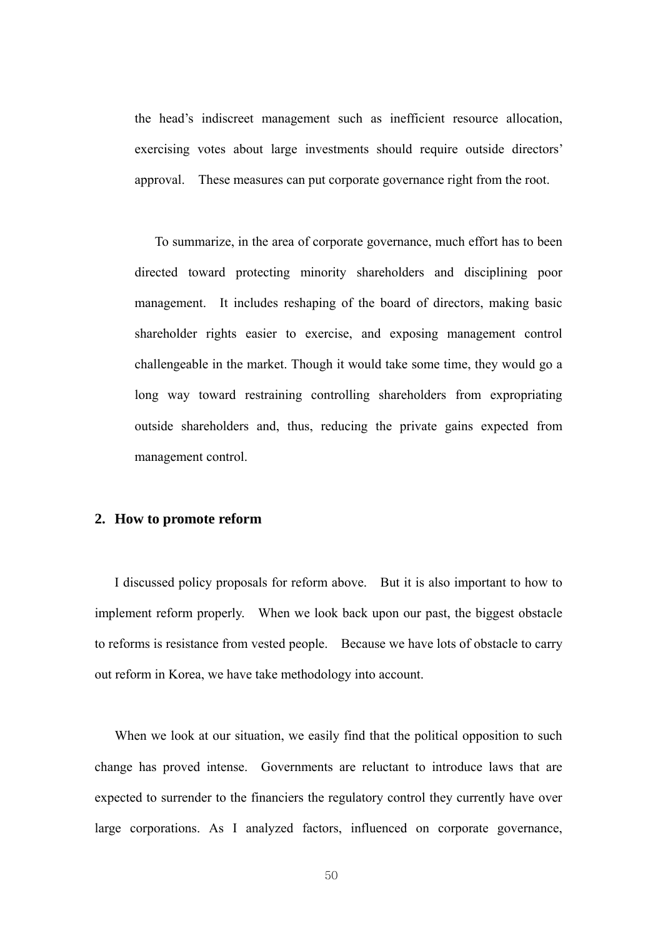the head's indiscreet management such as inefficient resource allocation, exercising votes about large investments should require outside directors' approval. These measures can put corporate governance right from the root.

To summarize, in the area of corporate governance, much effort has to been directed toward protecting minority shareholders and disciplining poor management. It includes reshaping of the board of directors, making basic shareholder rights easier to exercise, and exposing management control challengeable in the market. Though it would take some time, they would go a long way toward restraining controlling shareholders from expropriating outside shareholders and, thus, reducing the private gains expected from management control.

## **2. How to promote reform**

I discussed policy proposals for reform above. But it is also important to how to implement reform properly. When we look back upon our past, the biggest obstacle to reforms is resistance from vested people. Because we have lots of obstacle to carry out reform in Korea, we have take methodology into account.

When we look at our situation, we easily find that the political opposition to such change has proved intense. Governments are reluctant to introduce laws that are expected to surrender to the financiers the regulatory control they currently have over large corporations. As I analyzed factors, influenced on corporate governance,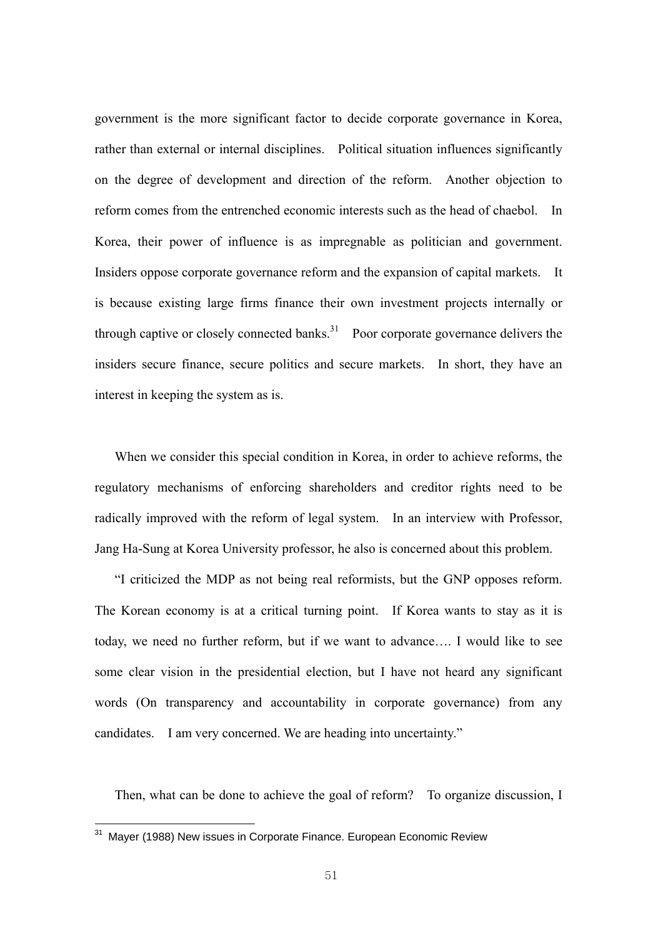government is the more significant factor to decide corporate governance in Korea, rather than external or internal disciplines. Political situation influences significantly on the degree of development and direction of the reform. Another objection to reform comes from the entrenched economic interests such as the head of chaebol. In Korea, their power of influence is as impregnable as politician and government. Insiders oppose corporate governance reform and the expansion of capital markets. It is because existing large firms finance their own investment projects internally or through captive or closely connected banks. $31$  Poor corporate governance delivers the insiders secure finance, secure politics and secure markets. In short, they have an interest in keeping the system as is.

When we consider this special condition in Korea, in order to achieve reforms, the regulatory mechanisms of enforcing shareholders and creditor rights need to be radically improved with the reform of legal system. In an interview with Professor, Jang Ha-Sung at Korea University professor, he also is concerned about this problem.

"I criticized the MDP as not being real reformists, but the GNP opposes reform. The Korean economy is at a critical turning point. If Korea wants to stay as it is today, we need no further reform, but if we want to advance…. I would like to see some clear vision in the presidential election, but I have not heard any significant words (On transparency and accountability in corporate governance) from any candidates. I am very concerned. We are heading into uncertainty."

Then, what can be done to achieve the goal of reform? To organize discussion, I

<u>.</u>

<sup>&</sup>lt;sup>31</sup> Mayer (1988) New issues in Corporate Finance. European Economic Review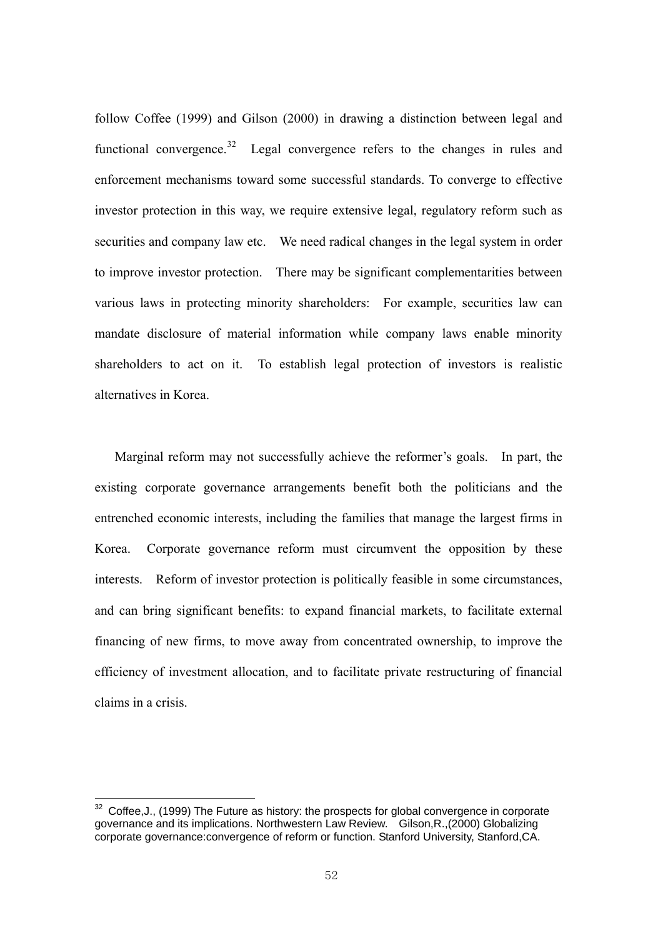follow Coffee (1999) and Gilson (2000) in drawing a distinction between legal and functional convergence.<sup>32</sup> Legal convergence refers to the changes in rules and enforcement mechanisms toward some successful standards. To converge to effective investor protection in this way, we require extensive legal, regulatory reform such as securities and company law etc. We need radical changes in the legal system in order to improve investor protection. There may be significant complementarities between various laws in protecting minority shareholders: For example, securities law can mandate disclosure of material information while company laws enable minority shareholders to act on it. To establish legal protection of investors is realistic alternatives in Korea.

Marginal reform may not successfully achieve the reformer's goals. In part, the existing corporate governance arrangements benefit both the politicians and the entrenched economic interests, including the families that manage the largest firms in Korea. Corporate governance reform must circumvent the opposition by these interests. Reform of investor protection is politically feasible in some circumstances, and can bring significant benefits: to expand financial markets, to facilitate external financing of new firms, to move away from concentrated ownership, to improve the efficiency of investment allocation, and to facilitate private restructuring of financial claims in a crisis.

 $32$  Coffee, J., (1999) The Future as history: the prospects for global convergence in corporate governance and its implications. Northwestern Law Review. Gilson,R.,(2000) Globalizing corporate governance:convergence of reform or function. Stanford University, Stanford,CA.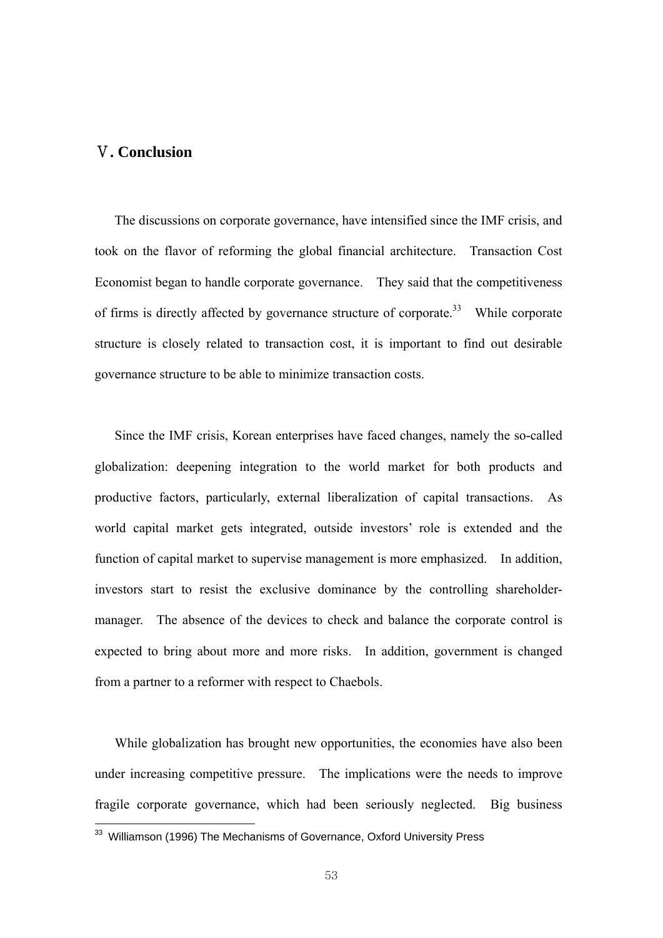## Ⅴ**. Conclusion**

The discussions on corporate governance, have intensified since the IMF crisis, and took on the flavor of reforming the global financial architecture. Transaction Cost Economist began to handle corporate governance. They said that the competitiveness of firms is directly affected by governance structure of corporate.<sup>33</sup> While corporate structure is closely related to transaction cost, it is important to find out desirable governance structure to be able to minimize transaction costs.

Since the IMF crisis, Korean enterprises have faced changes, namely the so-called globalization: deepening integration to the world market for both products and productive factors, particularly, external liberalization of capital transactions. As world capital market gets integrated, outside investors' role is extended and the function of capital market to supervise management is more emphasized. In addition, investors start to resist the exclusive dominance by the controlling shareholdermanager. The absence of the devices to check and balance the corporate control is expected to bring about more and more risks. In addition, government is changed from a partner to a reformer with respect to Chaebols.

While globalization has brought new opportunities, the economies have also been under increasing competitive pressure. The implications were the needs to improve fragile corporate governance, which had been seriously neglected. Big business <u>.</u>

<sup>&</sup>lt;sup>33</sup> Williamson (1996) The Mechanisms of Governance, Oxford University Press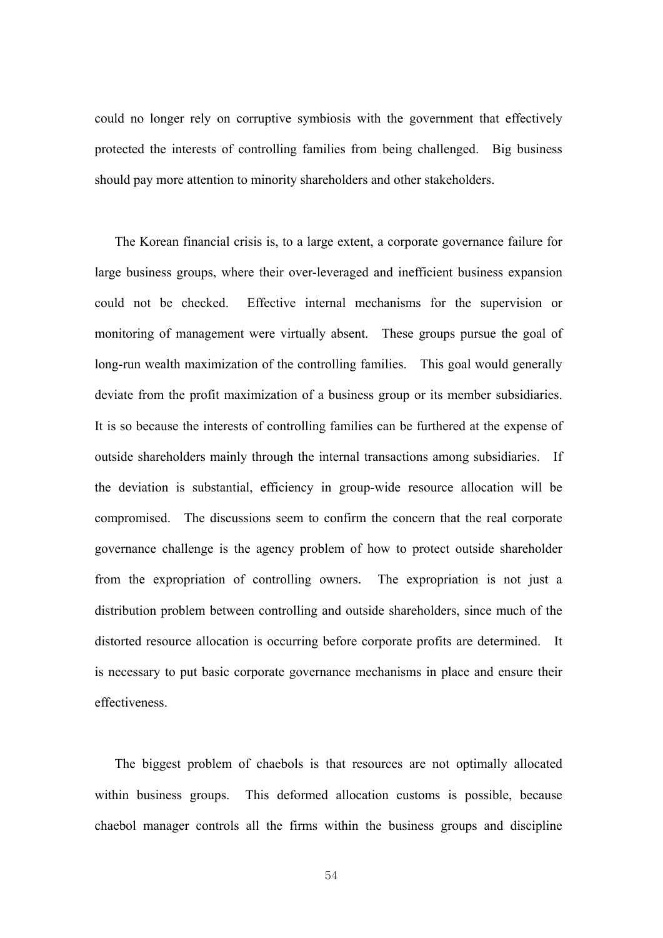could no longer rely on corruptive symbiosis with the government that effectively protected the interests of controlling families from being challenged. Big business should pay more attention to minority shareholders and other stakeholders.

The Korean financial crisis is, to a large extent, a corporate governance failure for large business groups, where their over-leveraged and inefficient business expansion could not be checked. Effective internal mechanisms for the supervision or monitoring of management were virtually absent. These groups pursue the goal of long-run wealth maximization of the controlling families. This goal would generally deviate from the profit maximization of a business group or its member subsidiaries. It is so because the interests of controlling families can be furthered at the expense of outside shareholders mainly through the internal transactions among subsidiaries. If the deviation is substantial, efficiency in group-wide resource allocation will be compromised. The discussions seem to confirm the concern that the real corporate governance challenge is the agency problem of how to protect outside shareholder from the expropriation of controlling owners. The expropriation is not just a distribution problem between controlling and outside shareholders, since much of the distorted resource allocation is occurring before corporate profits are determined. It is necessary to put basic corporate governance mechanisms in place and ensure their effectiveness.

The biggest problem of chaebols is that resources are not optimally allocated within business groups. This deformed allocation customs is possible, because chaebol manager controls all the firms within the business groups and discipline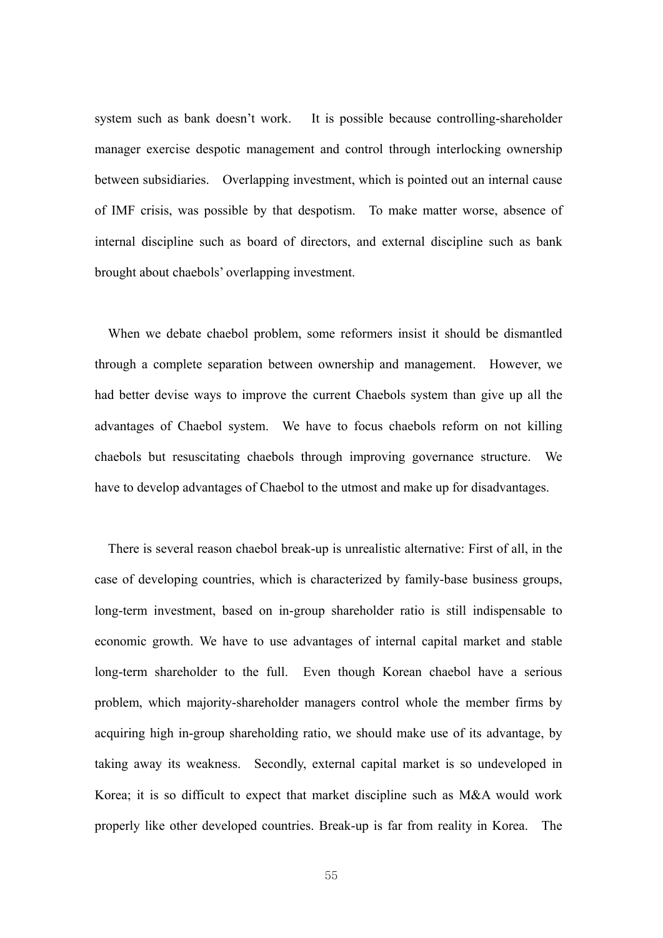system such as bank doesn't work. It is possible because controlling-shareholder manager exercise despotic management and control through interlocking ownership between subsidiaries. Overlapping investment, which is pointed out an internal cause of IMF crisis, was possible by that despotism. To make matter worse, absence of internal discipline such as board of directors, and external discipline such as bank brought about chaebols' overlapping investment.

When we debate chaebol problem, some reformers insist it should be dismantled through a complete separation between ownership and management. However, we had better devise ways to improve the current Chaebols system than give up all the advantages of Chaebol system. We have to focus chaebols reform on not killing chaebols but resuscitating chaebols through improving governance structure. We have to develop advantages of Chaebol to the utmost and make up for disadvantages.

There is several reason chaebol break-up is unrealistic alternative: First of all, in the case of developing countries, which is characterized by family-base business groups, long-term investment, based on in-group shareholder ratio is still indispensable to economic growth. We have to use advantages of internal capital market and stable long-term shareholder to the full. Even though Korean chaebol have a serious problem, which majority-shareholder managers control whole the member firms by acquiring high in-group shareholding ratio, we should make use of its advantage, by taking away its weakness. Secondly, external capital market is so undeveloped in Korea; it is so difficult to expect that market discipline such as M&A would work properly like other developed countries. Break-up is far from reality in Korea. The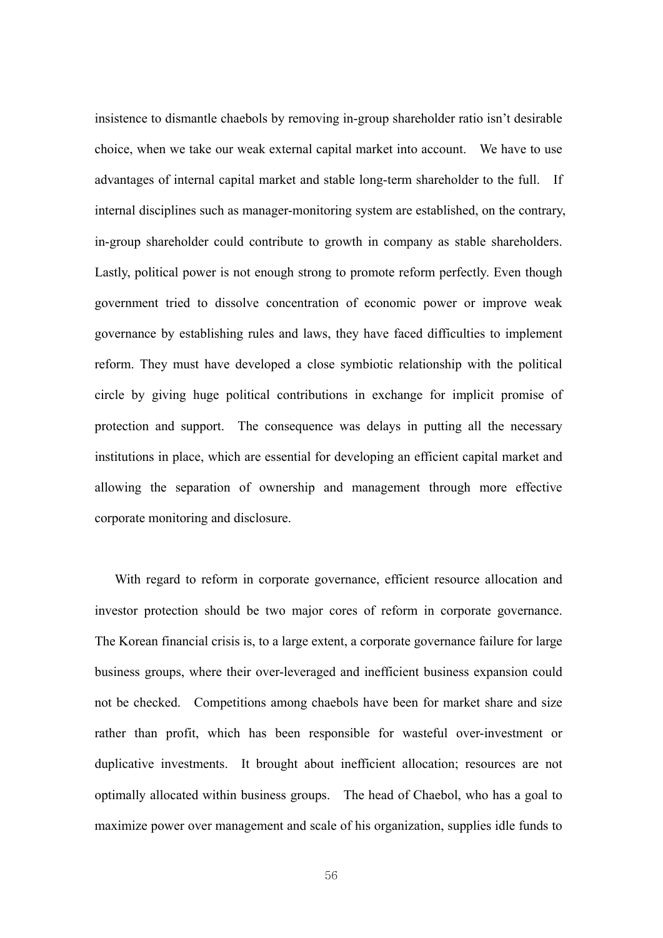insistence to dismantle chaebols by removing in-group shareholder ratio isn't desirable choice, when we take our weak external capital market into account. We have to use advantages of internal capital market and stable long-term shareholder to the full. If internal disciplines such as manager-monitoring system are established, on the contrary, in-group shareholder could contribute to growth in company as stable shareholders. Lastly, political power is not enough strong to promote reform perfectly. Even though government tried to dissolve concentration of economic power or improve weak governance by establishing rules and laws, they have faced difficulties to implement reform. They must have developed a close symbiotic relationship with the political circle by giving huge political contributions in exchange for implicit promise of protection and support. The consequence was delays in putting all the necessary institutions in place, which are essential for developing an efficient capital market and allowing the separation of ownership and management through more effective corporate monitoring and disclosure.

With regard to reform in corporate governance, efficient resource allocation and investor protection should be two major cores of reform in corporate governance. The Korean financial crisis is, to a large extent, a corporate governance failure for large business groups, where their over-leveraged and inefficient business expansion could not be checked. Competitions among chaebols have been for market share and size rather than profit, which has been responsible for wasteful over-investment or duplicative investments. It brought about inefficient allocation; resources are not optimally allocated within business groups. The head of Chaebol, who has a goal to maximize power over management and scale of his organization, supplies idle funds to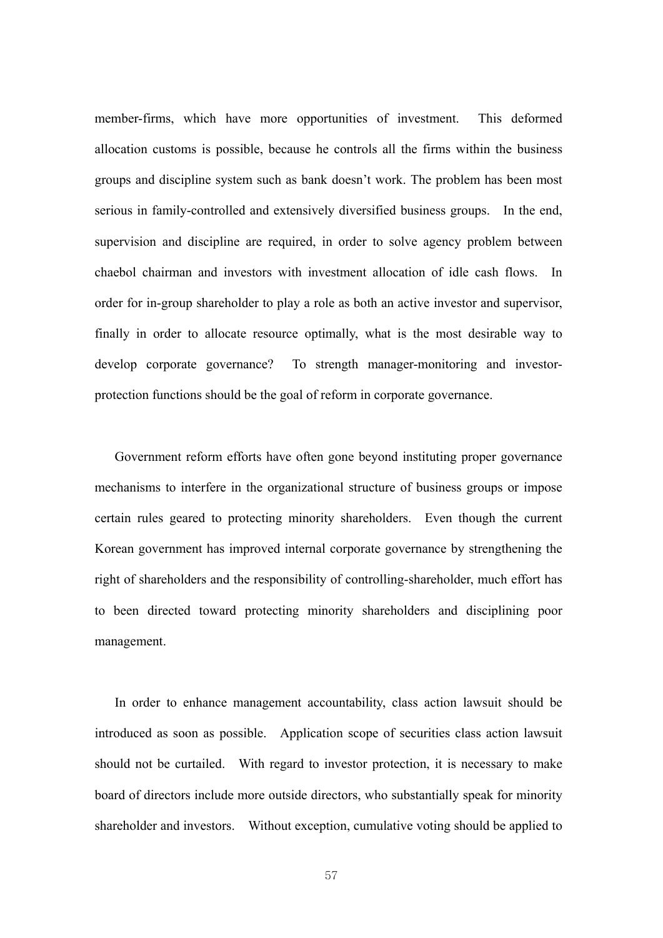member-firms, which have more opportunities of investment. This deformed allocation customs is possible, because he controls all the firms within the business groups and discipline system such as bank doesn't work. The problem has been most serious in family-controlled and extensively diversified business groups. In the end, supervision and discipline are required, in order to solve agency problem between chaebol chairman and investors with investment allocation of idle cash flows. In order for in-group shareholder to play a role as both an active investor and supervisor, finally in order to allocate resource optimally, what is the most desirable way to develop corporate governance? To strength manager-monitoring and investorprotection functions should be the goal of reform in corporate governance.

Government reform efforts have often gone beyond instituting proper governance mechanisms to interfere in the organizational structure of business groups or impose certain rules geared to protecting minority shareholders. Even though the current Korean government has improved internal corporate governance by strengthening the right of shareholders and the responsibility of controlling-shareholder, much effort has to been directed toward protecting minority shareholders and disciplining poor management.

In order to enhance management accountability, class action lawsuit should be introduced as soon as possible. Application scope of securities class action lawsuit should not be curtailed. With regard to investor protection, it is necessary to make board of directors include more outside directors, who substantially speak for minority shareholder and investors. Without exception, cumulative voting should be applied to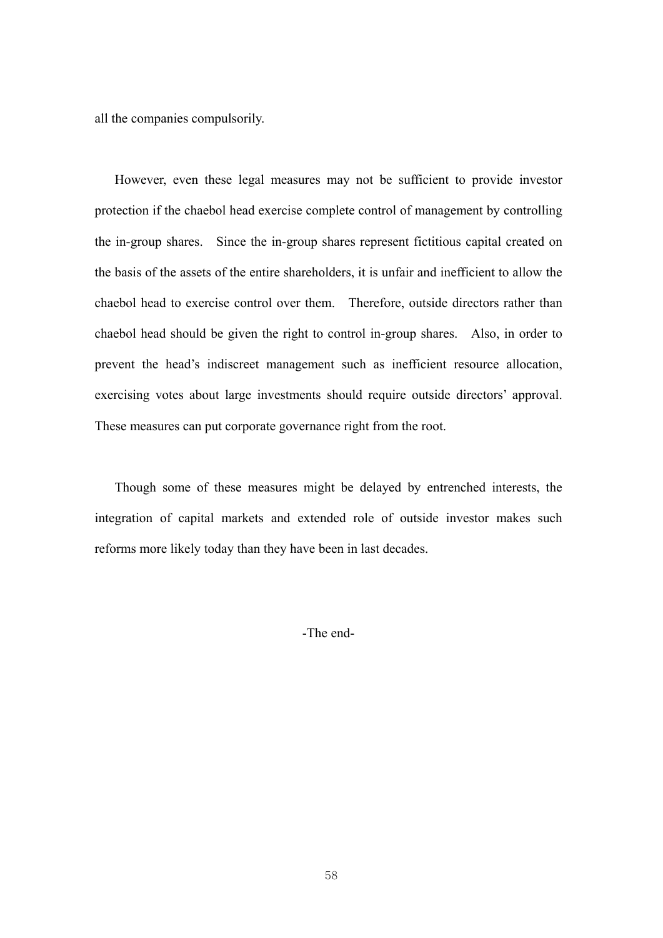all the companies compulsorily.

However, even these legal measures may not be sufficient to provide investor protection if the chaebol head exercise complete control of management by controlling the in-group shares. Since the in-group shares represent fictitious capital created on the basis of the assets of the entire shareholders, it is unfair and inefficient to allow the chaebol head to exercise control over them. Therefore, outside directors rather than chaebol head should be given the right to control in-group shares. Also, in order to prevent the head's indiscreet management such as inefficient resource allocation, exercising votes about large investments should require outside directors' approval. These measures can put corporate governance right from the root.

Though some of these measures might be delayed by entrenched interests, the integration of capital markets and extended role of outside investor makes such reforms more likely today than they have been in last decades.

-The end-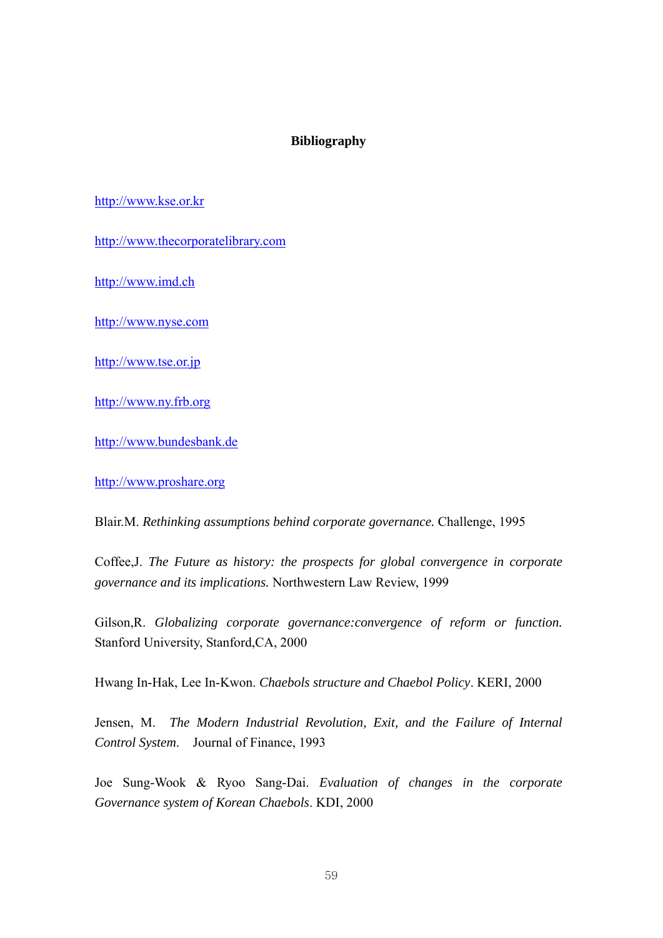## **Bibliography**

## http://www.kse.or.kr

http://www.thecorporatelibrary.com

http://www.imd.ch

http://www.nyse.com

http://www.tse.or.jp

http://www.ny.frb.org

http://www.bundesbank.de

http://www.proshare.org

Blair.M. *Rethinking assumptions behind corporate governance.* Challenge, 1995

Coffee,J. *The Future as history: the prospects for global convergence in corporate governance and its implications.* Northwestern Law Review, 1999

Gilson,R. *Globalizing corporate governance:convergence of reform or function.* Stanford University, Stanford,CA, 2000

Hwang In-Hak, Lee In-Kwon. *Chaebols structure and Chaebol Policy*. KERI, 2000

Jensen, M. *The Modern Industrial Revolution, Exit, and the Failure of Internal Control System*. Journal of Finance, 1993

Joe Sung-Wook & Ryoo Sang-Dai. *Evaluation of changes in the corporate Governance system of Korean Chaebols*. KDI, 2000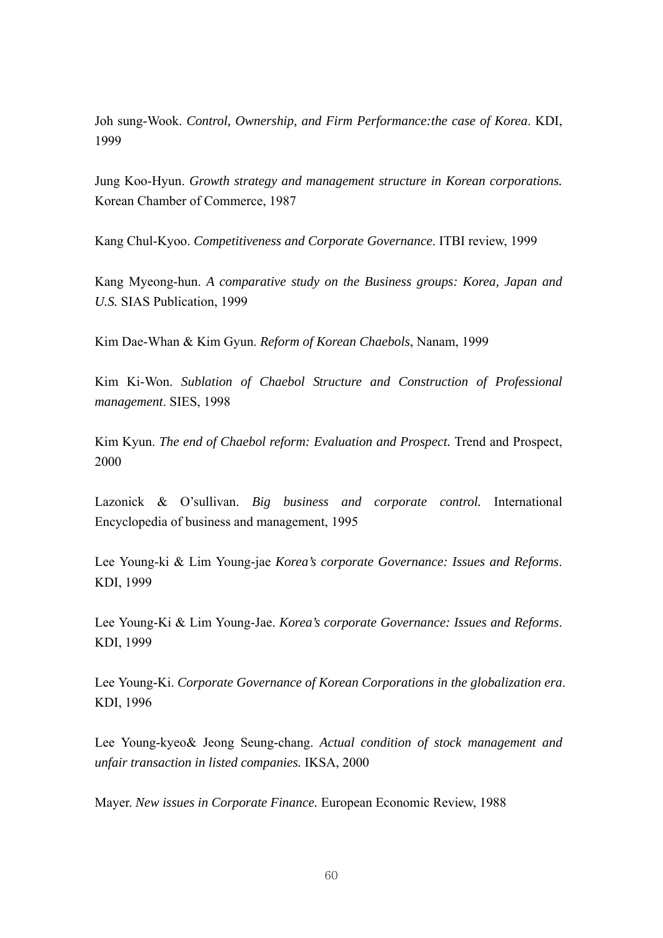Joh sung-Wook. *Control, Ownership, and Firm Performance:the case of Korea*. KDI, 1999

Jung Koo-Hyun. *Growth strategy and management structure in Korean corporations.* Korean Chamber of Commerce, 1987

Kang Chul-Kyoo. *Competitiveness and Corporate Governance*. ITBI review, 1999

Kang Myeong-hun. *A comparative study on the Business groups: Korea, Japan and U.S.* SIAS Publication, 1999

Kim Dae-Whan & Kim Gyun. *Reform of Korean Chaebols*, Nanam, 1999

Kim Ki-Won. *Sublation of Chaebol Structure and Construction of Professional management*. SIES, 1998

Kim Kyun. *The end of Chaebol reform: Evaluation and Prospect.* Trend and Prospect, 2000

Lazonick & O'sullivan. *Big business and corporate control.* International Encyclopedia of business and management, 1995

Lee Young-ki & Lim Young-jae *Korea's corporate Governance: Issues and Reforms*. KDI, 1999

Lee Young-Ki & Lim Young-Jae. *Korea's corporate Governance: Issues and Reforms*. KDI, 1999

Lee Young-Ki. *Corporate Governance of Korean Corporations in the globalization era*. KDI, 1996

Lee Young-kyeo& Jeong Seung-chang. *Actual condition of stock management and unfair transaction in listed companies.* IKSA, 2000

Mayer. *New issues in Corporate Finance.* European Economic Review, 1988